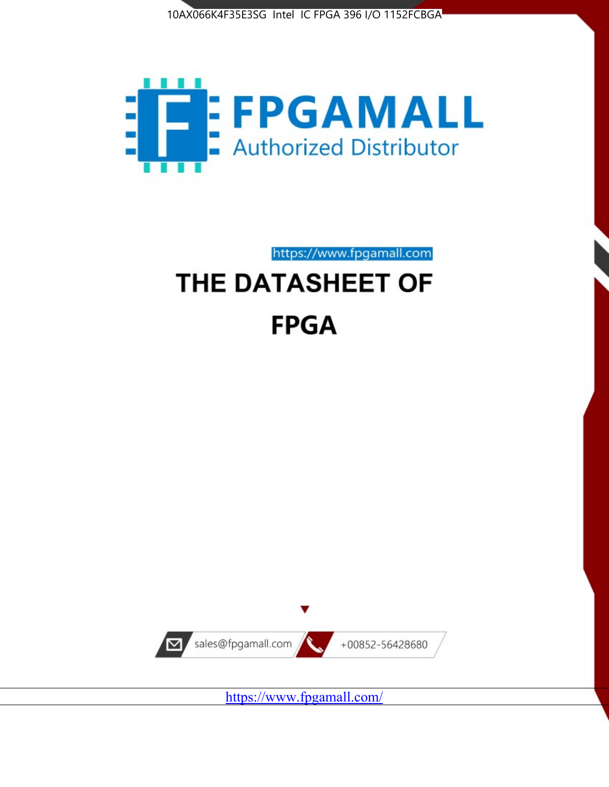



https://www.fpgamall.com

# THE DATASHEET OF **FPGA**



<https://www.fpgamall.com/>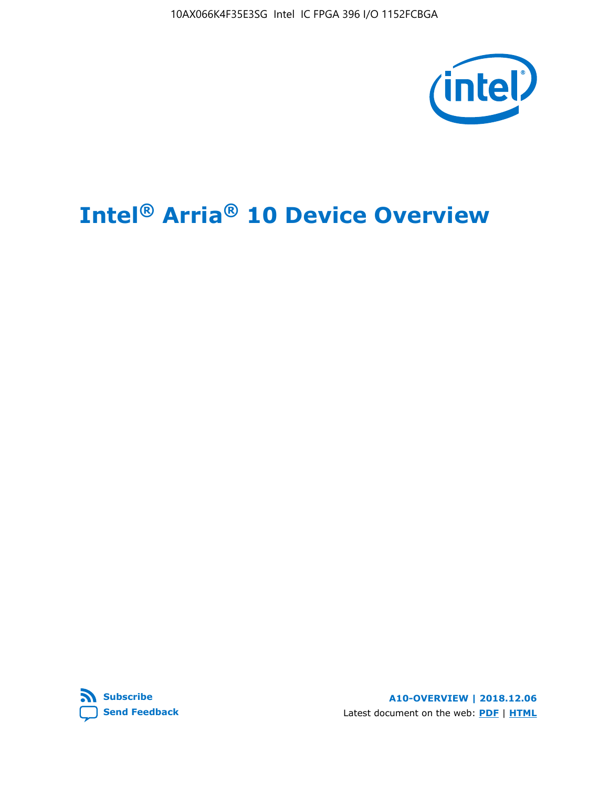10AX066K4F35E3SG Intel IC FPGA 396 I/O 1152FCBGA



# **Intel® Arria® 10 Device Overview**



**A10-OVERVIEW | 2018.12.06** Latest document on the web: **[PDF](https://www.intel.com/content/dam/www/programmable/us/en/pdfs/literature/hb/arria-10/a10_overview.pdf)** | **[HTML](https://www.intel.com/content/www/us/en/programmable/documentation/sam1403480274650.html)**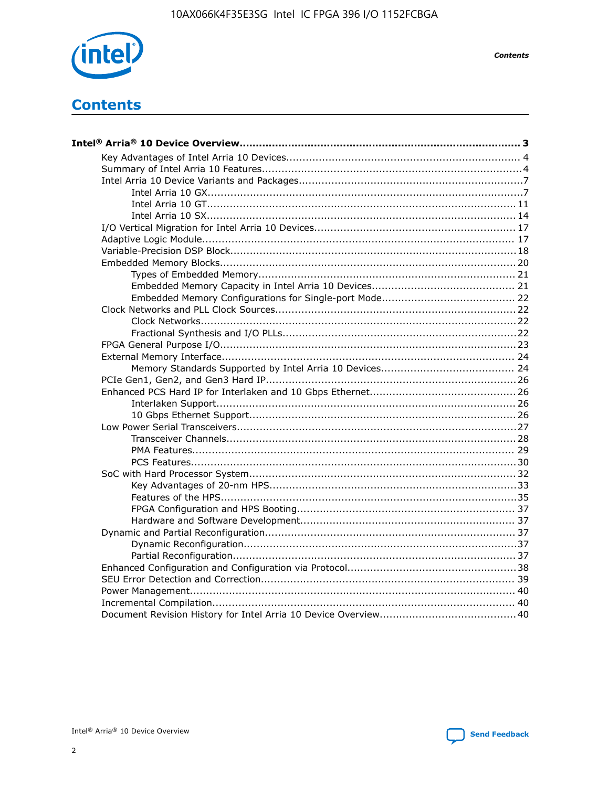

**Contents** 

# **Contents**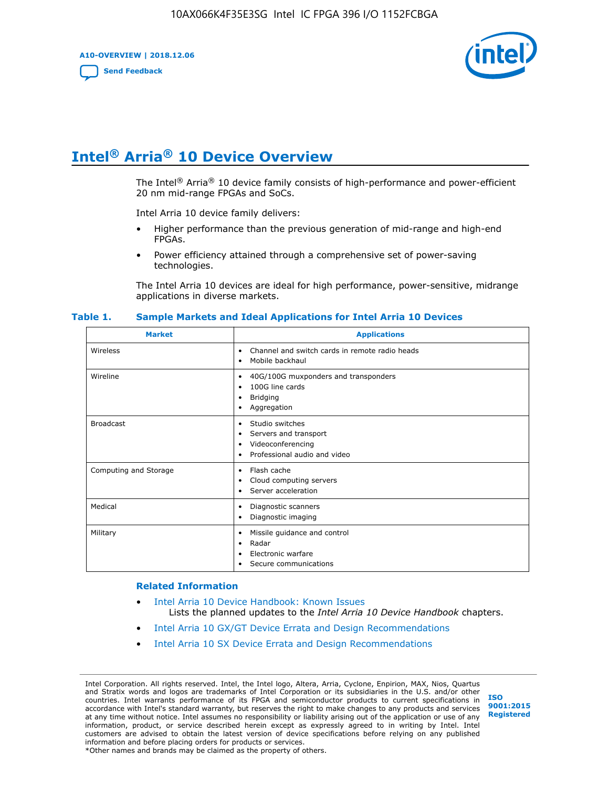**A10-OVERVIEW | 2018.12.06**

**[Send Feedback](mailto:FPGAtechdocfeedback@intel.com?subject=Feedback%20on%20Intel%20Arria%2010%20Device%20Overview%20(A10-OVERVIEW%202018.12.06)&body=We%20appreciate%20your%20feedback.%20In%20your%20comments,%20also%20specify%20the%20page%20number%20or%20paragraph.%20Thank%20you.)**



# **Intel® Arria® 10 Device Overview**

The Intel<sup>®</sup> Arria<sup>®</sup> 10 device family consists of high-performance and power-efficient 20 nm mid-range FPGAs and SoCs.

Intel Arria 10 device family delivers:

- Higher performance than the previous generation of mid-range and high-end FPGAs.
- Power efficiency attained through a comprehensive set of power-saving technologies.

The Intel Arria 10 devices are ideal for high performance, power-sensitive, midrange applications in diverse markets.

| <b>Market</b>         | <b>Applications</b>                                                                                               |
|-----------------------|-------------------------------------------------------------------------------------------------------------------|
| Wireless              | Channel and switch cards in remote radio heads<br>٠<br>Mobile backhaul<br>٠                                       |
| Wireline              | 40G/100G muxponders and transponders<br>٠<br>100G line cards<br>٠<br><b>Bridging</b><br>٠<br>Aggregation<br>٠     |
| <b>Broadcast</b>      | Studio switches<br>٠<br>Servers and transport<br>٠<br>Videoconferencing<br>٠<br>Professional audio and video<br>٠ |
| Computing and Storage | Flash cache<br>٠<br>Cloud computing servers<br>٠<br>Server acceleration<br>٠                                      |
| Medical               | Diagnostic scanners<br>٠<br>Diagnostic imaging<br>٠                                                               |
| Military              | Missile guidance and control<br>٠<br>Radar<br>٠<br>Electronic warfare<br>٠<br>Secure communications<br>٠          |

#### **Table 1. Sample Markets and Ideal Applications for Intel Arria 10 Devices**

#### **Related Information**

- [Intel Arria 10 Device Handbook: Known Issues](http://www.altera.com/support/kdb/solutions/rd07302013_646.html) Lists the planned updates to the *Intel Arria 10 Device Handbook* chapters.
- [Intel Arria 10 GX/GT Device Errata and Design Recommendations](https://www.intel.com/content/www/us/en/programmable/documentation/agz1493851706374.html#yqz1494433888646)
- [Intel Arria 10 SX Device Errata and Design Recommendations](https://www.intel.com/content/www/us/en/programmable/documentation/cru1462832385668.html#cru1462832558642)

Intel Corporation. All rights reserved. Intel, the Intel logo, Altera, Arria, Cyclone, Enpirion, MAX, Nios, Quartus and Stratix words and logos are trademarks of Intel Corporation or its subsidiaries in the U.S. and/or other countries. Intel warrants performance of its FPGA and semiconductor products to current specifications in accordance with Intel's standard warranty, but reserves the right to make changes to any products and services at any time without notice. Intel assumes no responsibility or liability arising out of the application or use of any information, product, or service described herein except as expressly agreed to in writing by Intel. Intel customers are advised to obtain the latest version of device specifications before relying on any published information and before placing orders for products or services. \*Other names and brands may be claimed as the property of others.

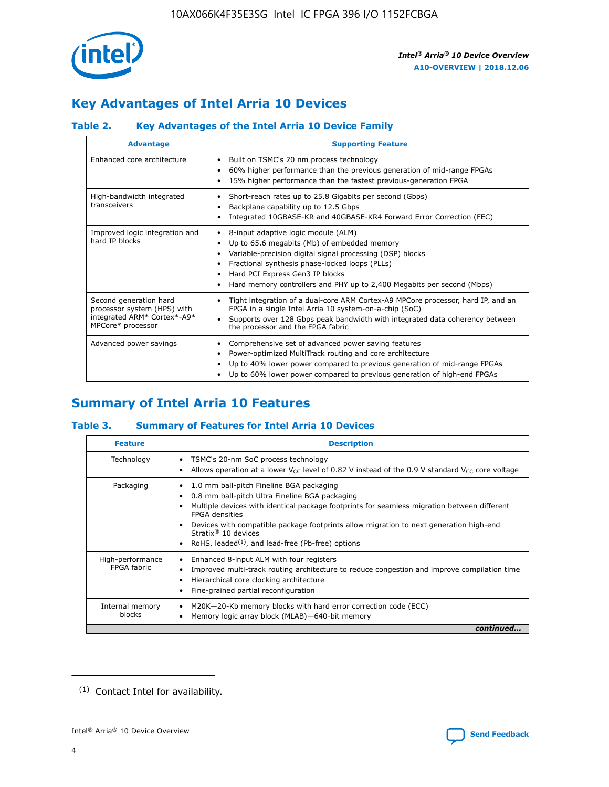

# **Key Advantages of Intel Arria 10 Devices**

## **Table 2. Key Advantages of the Intel Arria 10 Device Family**

| <b>Advantage</b>                                                                                          | <b>Supporting Feature</b>                                                                                                                                                                                                                                                                                                |
|-----------------------------------------------------------------------------------------------------------|--------------------------------------------------------------------------------------------------------------------------------------------------------------------------------------------------------------------------------------------------------------------------------------------------------------------------|
| Enhanced core architecture                                                                                | Built on TSMC's 20 nm process technology<br>٠<br>60% higher performance than the previous generation of mid-range FPGAs<br>٠<br>15% higher performance than the fastest previous-generation FPGA<br>٠                                                                                                                    |
| High-bandwidth integrated<br>transceivers                                                                 | Short-reach rates up to 25.8 Gigabits per second (Gbps)<br>٠<br>Backplane capability up to 12.5 Gbps<br>٠<br>Integrated 10GBASE-KR and 40GBASE-KR4 Forward Error Correction (FEC)<br>٠                                                                                                                                   |
| Improved logic integration and<br>hard IP blocks                                                          | 8-input adaptive logic module (ALM)<br>٠<br>Up to 65.6 megabits (Mb) of embedded memory<br>٠<br>Variable-precision digital signal processing (DSP) blocks<br>Fractional synthesis phase-locked loops (PLLs)<br>Hard PCI Express Gen3 IP blocks<br>Hard memory controllers and PHY up to 2,400 Megabits per second (Mbps) |
| Second generation hard<br>processor system (HPS) with<br>integrated ARM* Cortex*-A9*<br>MPCore* processor | Tight integration of a dual-core ARM Cortex-A9 MPCore processor, hard IP, and an<br>٠<br>FPGA in a single Intel Arria 10 system-on-a-chip (SoC)<br>Supports over 128 Gbps peak bandwidth with integrated data coherency between<br>$\bullet$<br>the processor and the FPGA fabric                                        |
| Advanced power savings                                                                                    | Comprehensive set of advanced power saving features<br>٠<br>Power-optimized MultiTrack routing and core architecture<br>٠<br>Up to 40% lower power compared to previous generation of mid-range FPGAs<br>Up to 60% lower power compared to previous generation of high-end FPGAs                                         |

# **Summary of Intel Arria 10 Features**

## **Table 3. Summary of Features for Intel Arria 10 Devices**

| <b>Feature</b>                  | <b>Description</b>                                                                                                                                                                                                                                                                                                                                                                                       |
|---------------------------------|----------------------------------------------------------------------------------------------------------------------------------------------------------------------------------------------------------------------------------------------------------------------------------------------------------------------------------------------------------------------------------------------------------|
| Technology                      | TSMC's 20-nm SoC process technology<br>٠<br>Allows operation at a lower $V_{\text{CC}}$ level of 0.82 V instead of the 0.9 V standard $V_{\text{CC}}$ core voltage                                                                                                                                                                                                                                       |
| Packaging                       | 1.0 mm ball-pitch Fineline BGA packaging<br>0.8 mm ball-pitch Ultra Fineline BGA packaging<br>Multiple devices with identical package footprints for seamless migration between different<br><b>FPGA</b> densities<br>Devices with compatible package footprints allow migration to next generation high-end<br>Stratix $\mathcal{R}$ 10 devices<br>RoHS, leaded $(1)$ , and lead-free (Pb-free) options |
| High-performance<br>FPGA fabric | Enhanced 8-input ALM with four registers<br>٠<br>Improved multi-track routing architecture to reduce congestion and improve compilation time<br>Hierarchical core clocking architecture<br>Fine-grained partial reconfiguration                                                                                                                                                                          |
| Internal memory<br>blocks       | M20K-20-Kb memory blocks with hard error correction code (ECC)<br>Memory logic array block (MLAB)-640-bit memory                                                                                                                                                                                                                                                                                         |
|                                 | continued                                                                                                                                                                                                                                                                                                                                                                                                |



<sup>(1)</sup> Contact Intel for availability.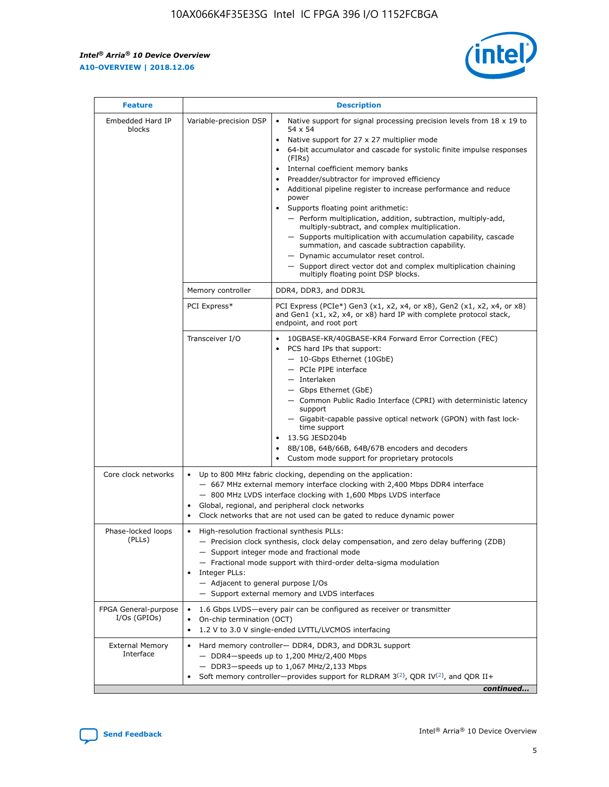r



| <b>Feature</b>                         | <b>Description</b>                                                                                             |                                                                                                                                                                                                                                                                                                                                                                                                                                                                                                                                                                                                                                                                                                                                                                                                                                        |  |  |  |  |  |
|----------------------------------------|----------------------------------------------------------------------------------------------------------------|----------------------------------------------------------------------------------------------------------------------------------------------------------------------------------------------------------------------------------------------------------------------------------------------------------------------------------------------------------------------------------------------------------------------------------------------------------------------------------------------------------------------------------------------------------------------------------------------------------------------------------------------------------------------------------------------------------------------------------------------------------------------------------------------------------------------------------------|--|--|--|--|--|
| Embedded Hard IP<br>blocks             | Variable-precision DSP                                                                                         | Native support for signal processing precision levels from $18 \times 19$ to<br>54 x 54<br>Native support for 27 x 27 multiplier mode<br>64-bit accumulator and cascade for systolic finite impulse responses<br>(FIRs)<br>Internal coefficient memory banks<br>$\bullet$<br>Preadder/subtractor for improved efficiency<br>Additional pipeline register to increase performance and reduce<br>power<br>Supports floating point arithmetic:<br>- Perform multiplication, addition, subtraction, multiply-add,<br>multiply-subtract, and complex multiplication.<br>- Supports multiplication with accumulation capability, cascade<br>summation, and cascade subtraction capability.<br>- Dynamic accumulator reset control.<br>- Support direct vector dot and complex multiplication chaining<br>multiply floating point DSP blocks. |  |  |  |  |  |
|                                        | Memory controller                                                                                              | DDR4, DDR3, and DDR3L                                                                                                                                                                                                                                                                                                                                                                                                                                                                                                                                                                                                                                                                                                                                                                                                                  |  |  |  |  |  |
|                                        | PCI Express*                                                                                                   | PCI Express (PCIe*) Gen3 (x1, x2, x4, or x8), Gen2 (x1, x2, x4, or x8)<br>and Gen1 (x1, x2, x4, or x8) hard IP with complete protocol stack,<br>endpoint, and root port                                                                                                                                                                                                                                                                                                                                                                                                                                                                                                                                                                                                                                                                |  |  |  |  |  |
|                                        | Transceiver I/O                                                                                                | 10GBASE-KR/40GBASE-KR4 Forward Error Correction (FEC)<br>PCS hard IPs that support:<br>$\bullet$<br>- 10-Gbps Ethernet (10GbE)<br>- PCIe PIPE interface<br>$-$ Interlaken<br>- Gbps Ethernet (GbE)<br>- Common Public Radio Interface (CPRI) with deterministic latency<br>support<br>- Gigabit-capable passive optical network (GPON) with fast lock-<br>time support<br>13.5G JESD204b<br>$\bullet$<br>8B/10B, 64B/66B, 64B/67B encoders and decoders<br>Custom mode support for proprietary protocols                                                                                                                                                                                                                                                                                                                               |  |  |  |  |  |
| Core clock networks                    | $\bullet$<br>$\bullet$                                                                                         | Up to 800 MHz fabric clocking, depending on the application:<br>- 667 MHz external memory interface clocking with 2,400 Mbps DDR4 interface<br>- 800 MHz LVDS interface clocking with 1,600 Mbps LVDS interface<br>Global, regional, and peripheral clock networks<br>Clock networks that are not used can be gated to reduce dynamic power                                                                                                                                                                                                                                                                                                                                                                                                                                                                                            |  |  |  |  |  |
| Phase-locked loops<br>(PLLs)           | High-resolution fractional synthesis PLLs:<br>$\bullet$<br>Integer PLLs:<br>- Adjacent to general purpose I/Os | - Precision clock synthesis, clock delay compensation, and zero delay buffering (ZDB)<br>- Support integer mode and fractional mode<br>- Fractional mode support with third-order delta-sigma modulation<br>- Support external memory and LVDS interfaces                                                                                                                                                                                                                                                                                                                                                                                                                                                                                                                                                                              |  |  |  |  |  |
| FPGA General-purpose<br>$I/Os$ (GPIOs) | On-chip termination (OCT)                                                                                      | 1.6 Gbps LVDS-every pair can be configured as receiver or transmitter<br>1.2 V to 3.0 V single-ended LVTTL/LVCMOS interfacing                                                                                                                                                                                                                                                                                                                                                                                                                                                                                                                                                                                                                                                                                                          |  |  |  |  |  |
| <b>External Memory</b><br>Interface    |                                                                                                                | Hard memory controller- DDR4, DDR3, and DDR3L support<br>$-$ DDR4 $-$ speeds up to 1,200 MHz/2,400 Mbps<br>- DDR3-speeds up to 1,067 MHz/2,133 Mbps<br>Soft memory controller—provides support for RLDRAM $3^{(2)}$ , QDR IV $^{(2)}$ , and QDR II+<br>continued                                                                                                                                                                                                                                                                                                                                                                                                                                                                                                                                                                       |  |  |  |  |  |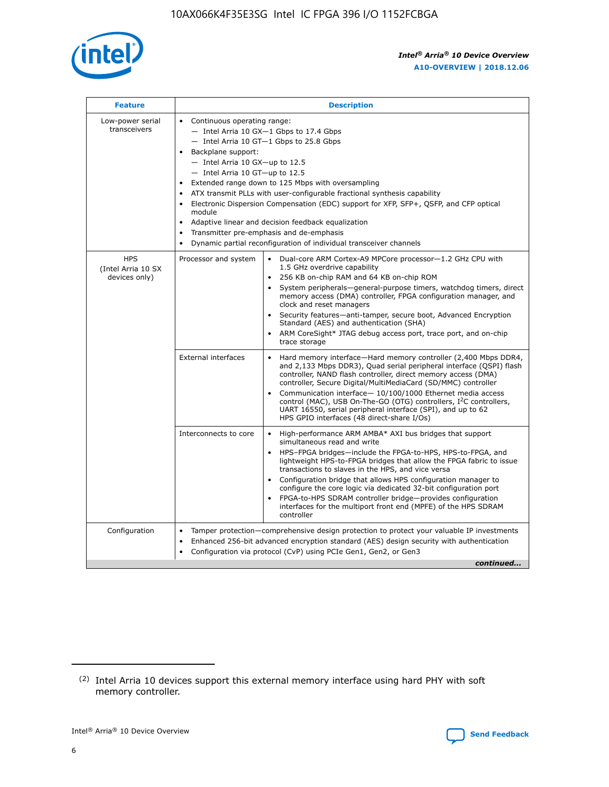

| <b>Feature</b>                                    | <b>Description</b>                                                                                                                                                                                                                                                                                                                                                                                                                                                                                                                                                                                                                         |
|---------------------------------------------------|--------------------------------------------------------------------------------------------------------------------------------------------------------------------------------------------------------------------------------------------------------------------------------------------------------------------------------------------------------------------------------------------------------------------------------------------------------------------------------------------------------------------------------------------------------------------------------------------------------------------------------------------|
| Low-power serial<br>transceivers                  | • Continuous operating range:<br>- Intel Arria 10 GX-1 Gbps to 17.4 Gbps<br>- Intel Arria 10 GT-1 Gbps to 25.8 Gbps<br>Backplane support:<br>$-$ Intel Arria 10 GX-up to 12.5<br>- Intel Arria 10 GT-up to 12.5<br>Extended range down to 125 Mbps with oversampling<br>ATX transmit PLLs with user-configurable fractional synthesis capability<br>Electronic Dispersion Compensation (EDC) support for XFP, SFP+, QSFP, and CFP optical<br>module<br>• Adaptive linear and decision feedback equalization<br>Transmitter pre-emphasis and de-emphasis<br>$\bullet$<br>Dynamic partial reconfiguration of individual transceiver channels |
| <b>HPS</b><br>(Intel Arria 10 SX<br>devices only) | Dual-core ARM Cortex-A9 MPCore processor-1.2 GHz CPU with<br>Processor and system<br>$\bullet$<br>1.5 GHz overdrive capability<br>256 KB on-chip RAM and 64 KB on-chip ROM<br>System peripherals-general-purpose timers, watchdog timers, direct<br>memory access (DMA) controller, FPGA configuration manager, and<br>clock and reset managers<br>Security features-anti-tamper, secure boot, Advanced Encryption<br>$\bullet$<br>Standard (AES) and authentication (SHA)<br>ARM CoreSight* JTAG debug access port, trace port, and on-chip<br>trace storage                                                                              |
|                                                   | <b>External interfaces</b><br>Hard memory interface-Hard memory controller (2,400 Mbps DDR4,<br>$\bullet$<br>and 2,133 Mbps DDR3), Quad serial peripheral interface (QSPI) flash<br>controller, NAND flash controller, direct memory access (DMA)<br>controller, Secure Digital/MultiMediaCard (SD/MMC) controller<br>Communication interface-10/100/1000 Ethernet media access<br>$\bullet$<br>control (MAC), USB On-The-GO (OTG) controllers, I <sup>2</sup> C controllers,<br>UART 16550, serial peripheral interface (SPI), and up to 62<br>HPS GPIO interfaces (48 direct-share I/Os)                                                 |
|                                                   | High-performance ARM AMBA* AXI bus bridges that support<br>Interconnects to core<br>$\bullet$<br>simultaneous read and write<br>HPS-FPGA bridges-include the FPGA-to-HPS, HPS-to-FPGA, and<br>$\bullet$<br>lightweight HPS-to-FPGA bridges that allow the FPGA fabric to issue<br>transactions to slaves in the HPS, and vice versa<br>Configuration bridge that allows HPS configuration manager to<br>configure the core logic via dedicated 32-bit configuration port<br>FPGA-to-HPS SDRAM controller bridge-provides configuration<br>interfaces for the multiport front end (MPFE) of the HPS SDRAM<br>controller                     |
| Configuration                                     | Tamper protection—comprehensive design protection to protect your valuable IP investments<br>Enhanced 256-bit advanced encryption standard (AES) design security with authentication<br>٠<br>Configuration via protocol (CvP) using PCIe Gen1, Gen2, or Gen3<br>continued                                                                                                                                                                                                                                                                                                                                                                  |

<sup>(2)</sup> Intel Arria 10 devices support this external memory interface using hard PHY with soft memory controller.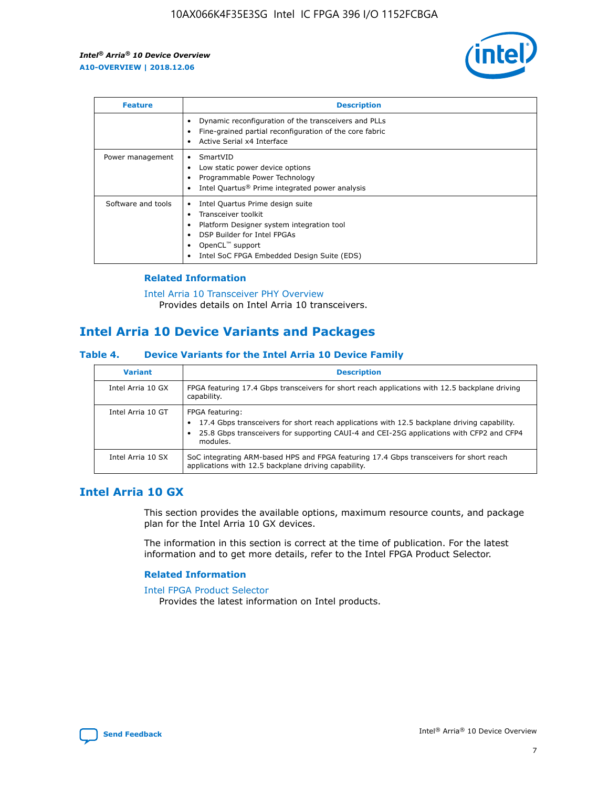

| <b>Feature</b>     | <b>Description</b>                                                                                                                                                                                               |
|--------------------|------------------------------------------------------------------------------------------------------------------------------------------------------------------------------------------------------------------|
|                    | Dynamic reconfiguration of the transceivers and PLLs<br>Fine-grained partial reconfiguration of the core fabric<br>Active Serial x4 Interface<br>$\bullet$                                                       |
| Power management   | SmartVID<br>Low static power device options<br>Programmable Power Technology<br>Intel Quartus <sup>®</sup> Prime integrated power analysis                                                                       |
| Software and tools | Intel Quartus Prime design suite<br>Transceiver toolkit<br>Platform Designer system integration tool<br>DSP Builder for Intel FPGAs<br>OpenCL <sup>™</sup> support<br>Intel SoC FPGA Embedded Design Suite (EDS) |

## **Related Information**

[Intel Arria 10 Transceiver PHY Overview](https://www.intel.com/content/www/us/en/programmable/documentation/nik1398707230472.html#nik1398706768037) Provides details on Intel Arria 10 transceivers.

# **Intel Arria 10 Device Variants and Packages**

#### **Table 4. Device Variants for the Intel Arria 10 Device Family**

| <b>Variant</b>    | <b>Description</b>                                                                                                                                                                                                     |
|-------------------|------------------------------------------------------------------------------------------------------------------------------------------------------------------------------------------------------------------------|
| Intel Arria 10 GX | FPGA featuring 17.4 Gbps transceivers for short reach applications with 12.5 backplane driving<br>capability.                                                                                                          |
| Intel Arria 10 GT | FPGA featuring:<br>17.4 Gbps transceivers for short reach applications with 12.5 backplane driving capability.<br>25.8 Gbps transceivers for supporting CAUI-4 and CEI-25G applications with CFP2 and CFP4<br>modules. |
| Intel Arria 10 SX | SoC integrating ARM-based HPS and FPGA featuring 17.4 Gbps transceivers for short reach<br>applications with 12.5 backplane driving capability.                                                                        |

## **Intel Arria 10 GX**

This section provides the available options, maximum resource counts, and package plan for the Intel Arria 10 GX devices.

The information in this section is correct at the time of publication. For the latest information and to get more details, refer to the Intel FPGA Product Selector.

## **Related Information**

#### [Intel FPGA Product Selector](http://www.altera.com/products/selector/psg-selector.html) Provides the latest information on Intel products.

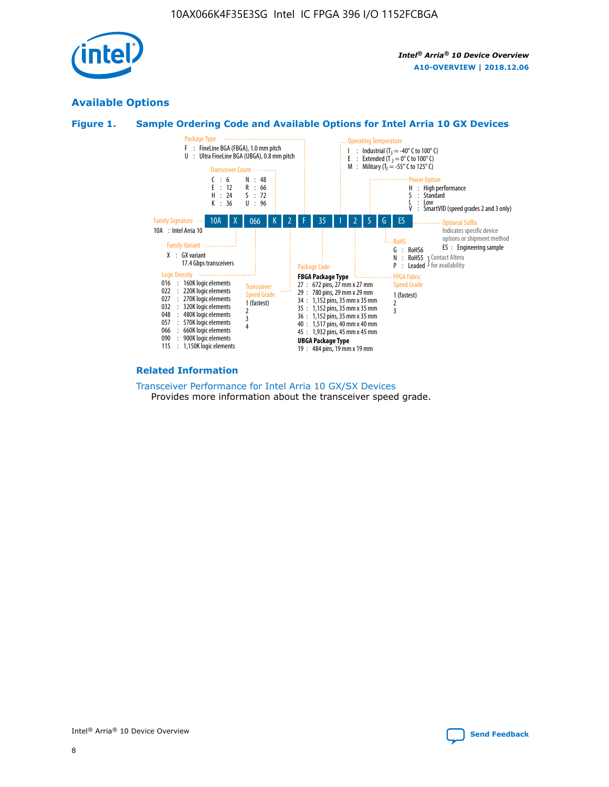

## **Available Options**





#### **Related Information**

[Transceiver Performance for Intel Arria 10 GX/SX Devices](https://www.intel.com/content/www/us/en/programmable/documentation/mcn1413182292568.html#mcn1413213965502) Provides more information about the transceiver speed grade.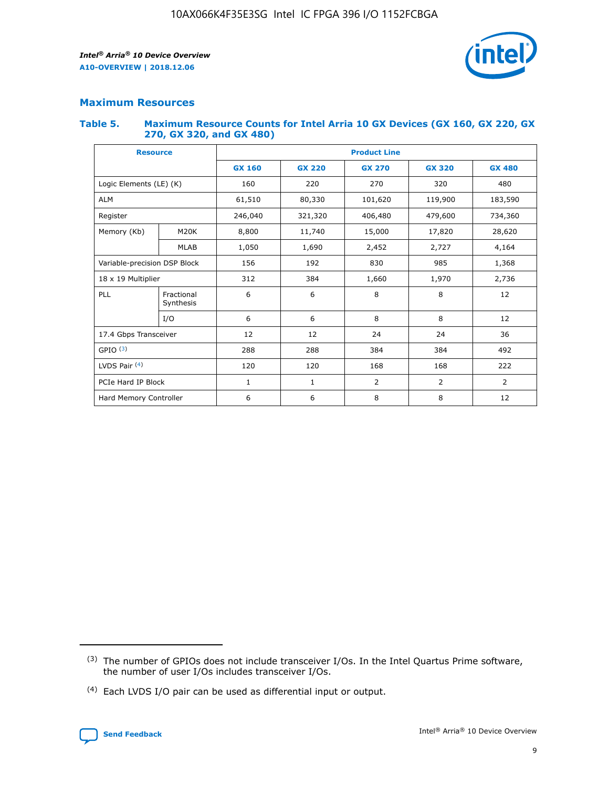

## **Maximum Resources**

#### **Table 5. Maximum Resource Counts for Intel Arria 10 GX Devices (GX 160, GX 220, GX 270, GX 320, and GX 480)**

| <b>Resource</b>              |                         | <b>Product Line</b> |                   |                    |                |                |  |  |  |
|------------------------------|-------------------------|---------------------|-------------------|--------------------|----------------|----------------|--|--|--|
|                              |                         | <b>GX 160</b>       | <b>GX 220</b>     | <b>GX 270</b>      | <b>GX 320</b>  | <b>GX 480</b>  |  |  |  |
| Logic Elements (LE) (K)      |                         | 160                 | 220               | 270                | 320            | 480            |  |  |  |
| <b>ALM</b>                   |                         | 61,510              | 80,330            | 101,620            | 119,900        | 183,590        |  |  |  |
| Register                     |                         | 246,040             | 321,320           | 406,480<br>479,600 |                | 734,360        |  |  |  |
| Memory (Kb)                  | M <sub>20</sub> K       | 8,800               | 11,740            |                    | 17,820         | 28,620         |  |  |  |
| <b>MLAB</b>                  |                         | 1,050               | 1,690             | 2,452              | 2,727          | 4,164          |  |  |  |
| Variable-precision DSP Block |                         | 156                 | 192<br>830<br>985 |                    |                | 1,368          |  |  |  |
| 18 x 19 Multiplier           |                         | 312                 | 384               | 1,970<br>1,660     |                | 2,736          |  |  |  |
| PLL                          | Fractional<br>Synthesis | 6                   | 6                 | 8                  | 8              | 12             |  |  |  |
|                              | I/O                     | 6                   | 6                 | 8                  | 8              | 12             |  |  |  |
| 17.4 Gbps Transceiver        |                         | 12                  | 12                | 24                 | 24             | 36             |  |  |  |
| GPIO <sup>(3)</sup>          |                         | 288                 | 288               | 384<br>384         |                | 492            |  |  |  |
| LVDS Pair $(4)$              |                         | 120                 | 120               | 168                | 168            | 222            |  |  |  |
| PCIe Hard IP Block           |                         | 1                   | 1                 | 2                  | $\overline{2}$ | $\overline{2}$ |  |  |  |
| Hard Memory Controller       |                         | 6                   | 6                 | 8                  | 8              | 12             |  |  |  |

<sup>(4)</sup> Each LVDS I/O pair can be used as differential input or output.



<sup>(3)</sup> The number of GPIOs does not include transceiver I/Os. In the Intel Quartus Prime software, the number of user I/Os includes transceiver I/Os.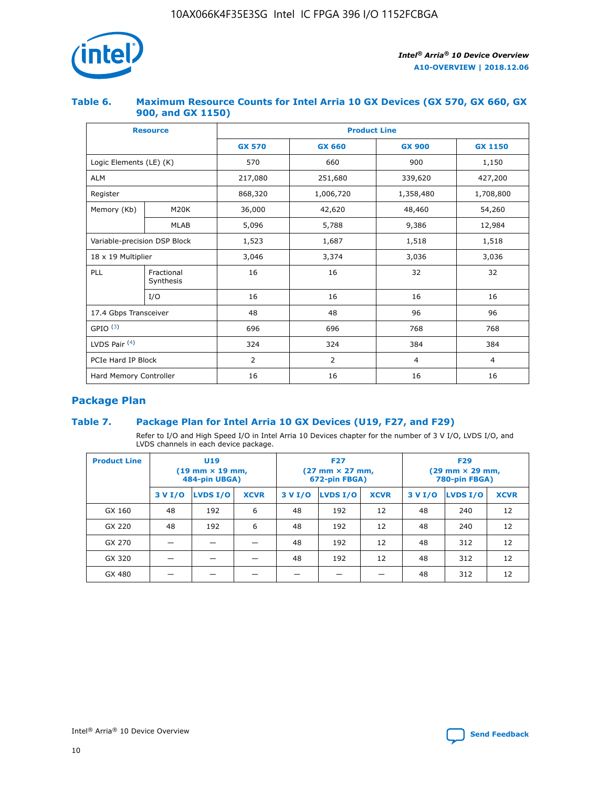

## **Table 6. Maximum Resource Counts for Intel Arria 10 GX Devices (GX 570, GX 660, GX 900, and GX 1150)**

|                              | <b>Resource</b>         | <b>Product Line</b> |                |                |                |  |  |  |
|------------------------------|-------------------------|---------------------|----------------|----------------|----------------|--|--|--|
|                              |                         | <b>GX 570</b>       | <b>GX 660</b>  | <b>GX 900</b>  | <b>GX 1150</b> |  |  |  |
| Logic Elements (LE) (K)      |                         | 570                 | 660            | 900            | 1,150          |  |  |  |
| <b>ALM</b>                   |                         | 217,080             | 251,680        | 339,620        | 427,200        |  |  |  |
| Register                     |                         | 868,320             | 1,006,720      | 1,358,480      | 1,708,800      |  |  |  |
| Memory (Kb)                  | <b>M20K</b>             | 36,000              | 42,620         | 48,460         | 54,260         |  |  |  |
| <b>MLAB</b>                  |                         | 5,096               | 5,788          | 9,386          | 12,984         |  |  |  |
| Variable-precision DSP Block |                         | 1,523               | 1,687          | 1,518          | 1,518          |  |  |  |
| 18 x 19 Multiplier           |                         | 3,046               | 3,374          | 3,036          | 3,036          |  |  |  |
| PLL                          | Fractional<br>Synthesis | 16                  | 16             | 32             | 32             |  |  |  |
|                              | I/O                     | 16                  | 16             | 16             | 16             |  |  |  |
| 17.4 Gbps Transceiver        |                         | 48                  | 48             | 96             |                |  |  |  |
| GPIO <sup>(3)</sup>          |                         | 696                 | 696            | 768            | 768            |  |  |  |
| LVDS Pair $(4)$              |                         | 324                 | 324            | 384            | 384            |  |  |  |
| PCIe Hard IP Block           |                         | 2                   | $\overline{2}$ | $\overline{4}$ | $\overline{4}$ |  |  |  |
| Hard Memory Controller       |                         | 16                  | 16             | 16             | 16             |  |  |  |

## **Package Plan**

## **Table 7. Package Plan for Intel Arria 10 GX Devices (U19, F27, and F29)**

Refer to I/O and High Speed I/O in Intel Arria 10 Devices chapter for the number of 3 V I/O, LVDS I/O, and LVDS channels in each device package.

| <b>Product Line</b> |         | U <sub>19</sub><br>$(19 \text{ mm} \times 19 \text{ mm})$<br>484-pin UBGA) |             | <b>F27</b><br>(27 mm × 27 mm,<br>672-pin FBGA) |                 |             | <b>F29</b><br>(29 mm × 29 mm,<br>780-pin FBGA) |          |             |  |
|---------------------|---------|----------------------------------------------------------------------------|-------------|------------------------------------------------|-----------------|-------------|------------------------------------------------|----------|-------------|--|
|                     | 3 V I/O | LVDS I/O                                                                   | <b>XCVR</b> | 3 V I/O                                        | <b>LVDS I/O</b> | <b>XCVR</b> | 3 V I/O                                        | LVDS I/O | <b>XCVR</b> |  |
| GX 160              | 48      | 192                                                                        | 6           | 48                                             | 192             | 12          | 48                                             | 240      | 12          |  |
| GX 220              | 48      | 192                                                                        | 6           | 48                                             | 192             | 12          | 48                                             | 240      | 12          |  |
| GX 270              |         |                                                                            |             | 48                                             | 192             | 12          | 48                                             | 312      | 12          |  |
| GX 320              |         |                                                                            |             | 48                                             | 192             | 12          | 48                                             | 312      | 12          |  |
| GX 480              |         |                                                                            |             |                                                |                 |             | 48                                             | 312      | 12          |  |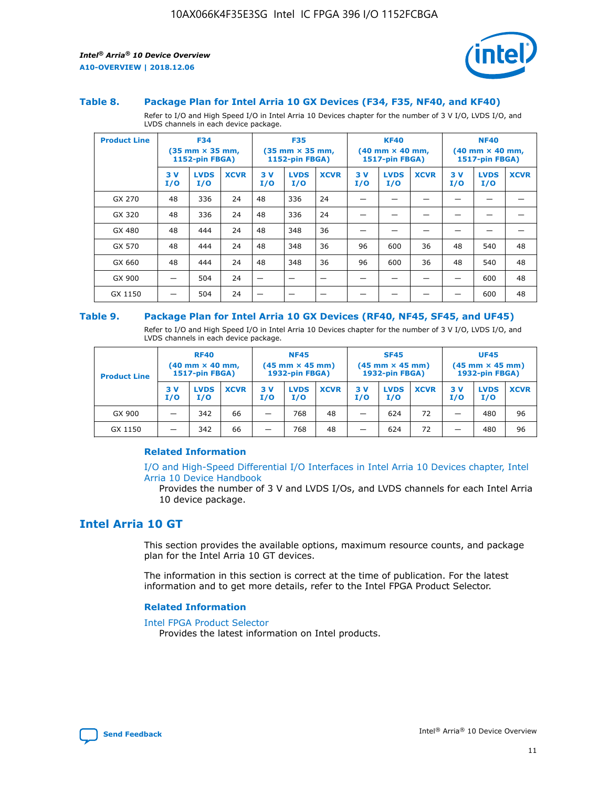

#### **Table 8. Package Plan for Intel Arria 10 GX Devices (F34, F35, NF40, and KF40)**

Refer to I/O and High Speed I/O in Intel Arria 10 Devices chapter for the number of 3 V I/O, LVDS I/O, and LVDS channels in each device package.

| <b>Product Line</b> |           | <b>F34</b><br>$(35 \text{ mm} \times 35 \text{ mm})$<br>1152-pin FBGA) |             | <b>F35</b><br>$(35 \text{ mm} \times 35 \text{ mm})$<br><b>1152-pin FBGA)</b> |                    | <b>KF40</b><br>$(40$ mm $\times$ 40 mm,<br>1517-pin FBGA) |           | <b>NF40</b><br>$(40$ mm $\times$ 40 mm,<br><b>1517-pin FBGA)</b> |             |            |                    |             |
|---------------------|-----------|------------------------------------------------------------------------|-------------|-------------------------------------------------------------------------------|--------------------|-----------------------------------------------------------|-----------|------------------------------------------------------------------|-------------|------------|--------------------|-------------|
|                     | 3V<br>I/O | <b>LVDS</b><br>I/O                                                     | <b>XCVR</b> | 3V<br>I/O                                                                     | <b>LVDS</b><br>I/O | <b>XCVR</b>                                               | 3V<br>I/O | <b>LVDS</b><br>I/O                                               | <b>XCVR</b> | 3 V<br>I/O | <b>LVDS</b><br>I/O | <b>XCVR</b> |
| GX 270              | 48        | 336                                                                    | 24          | 48                                                                            | 336                | 24                                                        |           |                                                                  |             |            |                    |             |
| GX 320              | 48        | 336                                                                    | 24          | 48                                                                            | 336                | 24                                                        |           |                                                                  |             |            |                    |             |
| GX 480              | 48        | 444                                                                    | 24          | 48                                                                            | 348                | 36                                                        |           |                                                                  |             |            |                    |             |
| GX 570              | 48        | 444                                                                    | 24          | 48                                                                            | 348                | 36                                                        | 96        | 600                                                              | 36          | 48         | 540                | 48          |
| GX 660              | 48        | 444                                                                    | 24          | 48                                                                            | 348                | 36                                                        | 96        | 600                                                              | 36          | 48         | 540                | 48          |
| GX 900              |           | 504                                                                    | 24          | -                                                                             |                    |                                                           |           |                                                                  |             |            | 600                | 48          |
| GX 1150             |           | 504                                                                    | 24          |                                                                               |                    |                                                           |           |                                                                  |             |            | 600                | 48          |

#### **Table 9. Package Plan for Intel Arria 10 GX Devices (RF40, NF45, SF45, and UF45)**

Refer to I/O and High Speed I/O in Intel Arria 10 Devices chapter for the number of 3 V I/O, LVDS I/O, and LVDS channels in each device package.

| <b>Product Line</b> | <b>RF40</b><br>$(40$ mm $\times$ 40 mm,<br>1517-pin FBGA) |                    | <b>NF45</b><br>$(45 \text{ mm} \times 45 \text{ mm})$<br><b>1932-pin FBGA)</b> |            |                    | <b>SF45</b><br>$(45 \text{ mm} \times 45 \text{ mm})$<br><b>1932-pin FBGA)</b> |            |                    | <b>UF45</b><br>$(45 \text{ mm} \times 45 \text{ mm})$<br><b>1932-pin FBGA)</b> |           |                    |             |
|---------------------|-----------------------------------------------------------|--------------------|--------------------------------------------------------------------------------|------------|--------------------|--------------------------------------------------------------------------------|------------|--------------------|--------------------------------------------------------------------------------|-----------|--------------------|-------------|
|                     | 3V<br>I/O                                                 | <b>LVDS</b><br>I/O | <b>XCVR</b>                                                                    | 3 V<br>I/O | <b>LVDS</b><br>I/O | <b>XCVR</b>                                                                    | 3 V<br>I/O | <b>LVDS</b><br>I/O | <b>XCVR</b>                                                                    | 3V<br>I/O | <b>LVDS</b><br>I/O | <b>XCVR</b> |
| GX 900              |                                                           | 342                | 66                                                                             | _          | 768                | 48                                                                             |            | 624                | 72                                                                             |           | 480                | 96          |
| GX 1150             |                                                           | 342                | 66                                                                             | _          | 768                | 48                                                                             |            | 624                | 72                                                                             |           | 480                | 96          |

## **Related Information**

[I/O and High-Speed Differential I/O Interfaces in Intel Arria 10 Devices chapter, Intel](https://www.intel.com/content/www/us/en/programmable/documentation/sam1403482614086.html#sam1403482030321) [Arria 10 Device Handbook](https://www.intel.com/content/www/us/en/programmable/documentation/sam1403482614086.html#sam1403482030321)

Provides the number of 3 V and LVDS I/Os, and LVDS channels for each Intel Arria 10 device package.

## **Intel Arria 10 GT**

This section provides the available options, maximum resource counts, and package plan for the Intel Arria 10 GT devices.

The information in this section is correct at the time of publication. For the latest information and to get more details, refer to the Intel FPGA Product Selector.

#### **Related Information**

#### [Intel FPGA Product Selector](http://www.altera.com/products/selector/psg-selector.html)

Provides the latest information on Intel products.

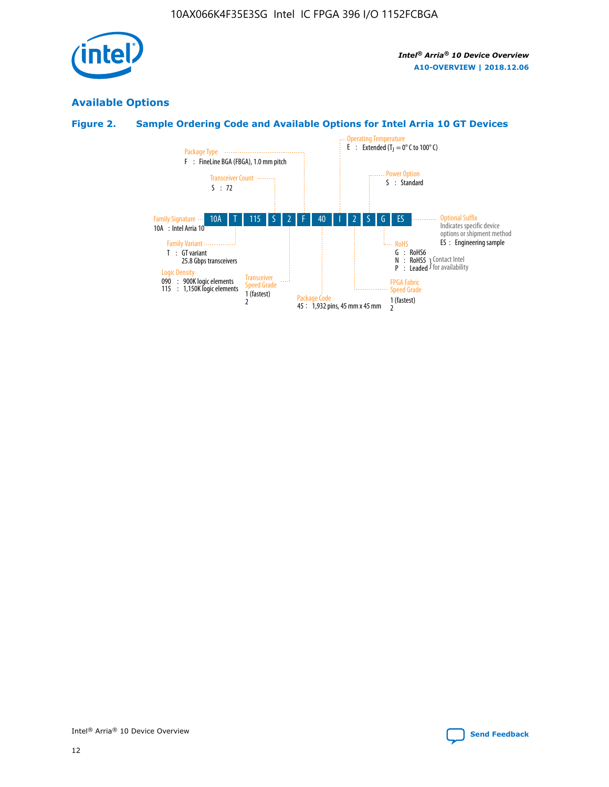

## **Available Options**

## **Figure 2. Sample Ordering Code and Available Options for Intel Arria 10 GT Devices**

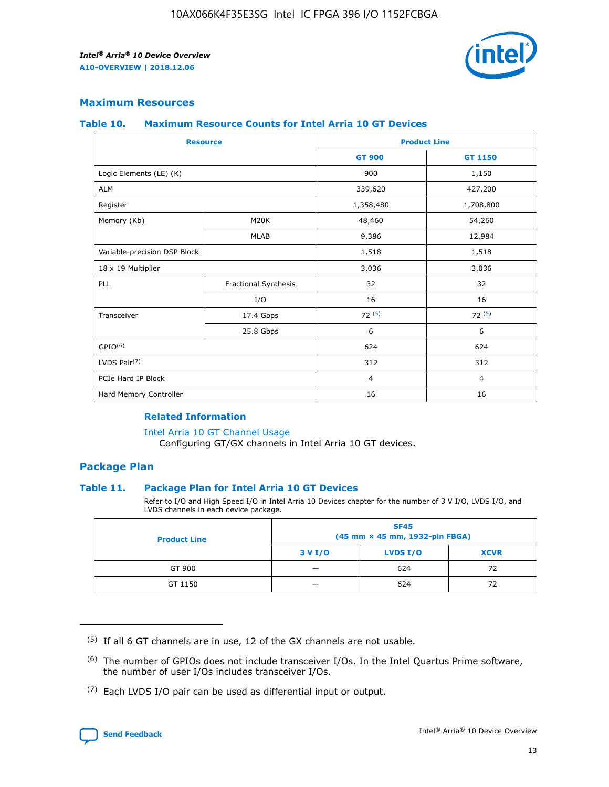

## **Maximum Resources**

#### **Table 10. Maximum Resource Counts for Intel Arria 10 GT Devices**

|                              | <b>Resource</b>      | <b>Product Line</b> |                |  |
|------------------------------|----------------------|---------------------|----------------|--|
|                              |                      | <b>GT 900</b>       | GT 1150        |  |
| Logic Elements (LE) (K)      |                      | 900                 | 1,150          |  |
| <b>ALM</b>                   |                      | 339,620             | 427,200        |  |
| Register                     |                      | 1,358,480           | 1,708,800      |  |
| Memory (Kb)                  | M20K                 | 48,460              | 54,260         |  |
|                              | <b>MLAB</b>          | 9,386               | 12,984         |  |
| Variable-precision DSP Block |                      | 1,518               | 1,518          |  |
| 18 x 19 Multiplier           |                      | 3,036               | 3,036          |  |
| PLL                          | Fractional Synthesis | 32                  | 32             |  |
|                              | I/O                  | 16                  | 16             |  |
| Transceiver                  | 17.4 Gbps            | 72(5)               | 72(5)          |  |
|                              | 25.8 Gbps            | 6                   | 6              |  |
| GPIO <sup>(6)</sup>          |                      | 624                 | 624            |  |
| LVDS Pair $(7)$              |                      | 312                 | 312            |  |
| PCIe Hard IP Block           |                      | $\overline{4}$      | $\overline{4}$ |  |
| Hard Memory Controller       |                      | 16                  | 16             |  |

## **Related Information**

#### [Intel Arria 10 GT Channel Usage](https://www.intel.com/content/www/us/en/programmable/documentation/nik1398707230472.html#nik1398707008178)

Configuring GT/GX channels in Intel Arria 10 GT devices.

## **Package Plan**

## **Table 11. Package Plan for Intel Arria 10 GT Devices**

Refer to I/O and High Speed I/O in Intel Arria 10 Devices chapter for the number of 3 V I/O, LVDS I/O, and LVDS channels in each device package.

| <b>Product Line</b> | <b>SF45</b><br>(45 mm × 45 mm, 1932-pin FBGA) |                 |             |  |  |  |
|---------------------|-----------------------------------------------|-----------------|-------------|--|--|--|
|                     | 3 V I/O                                       | <b>LVDS I/O</b> | <b>XCVR</b> |  |  |  |
| GT 900              |                                               | 624             | 72          |  |  |  |
| GT 1150             |                                               | 624             | 72          |  |  |  |

<sup>(7)</sup> Each LVDS I/O pair can be used as differential input or output.



 $(5)$  If all 6 GT channels are in use, 12 of the GX channels are not usable.

<sup>(6)</sup> The number of GPIOs does not include transceiver I/Os. In the Intel Quartus Prime software, the number of user I/Os includes transceiver I/Os.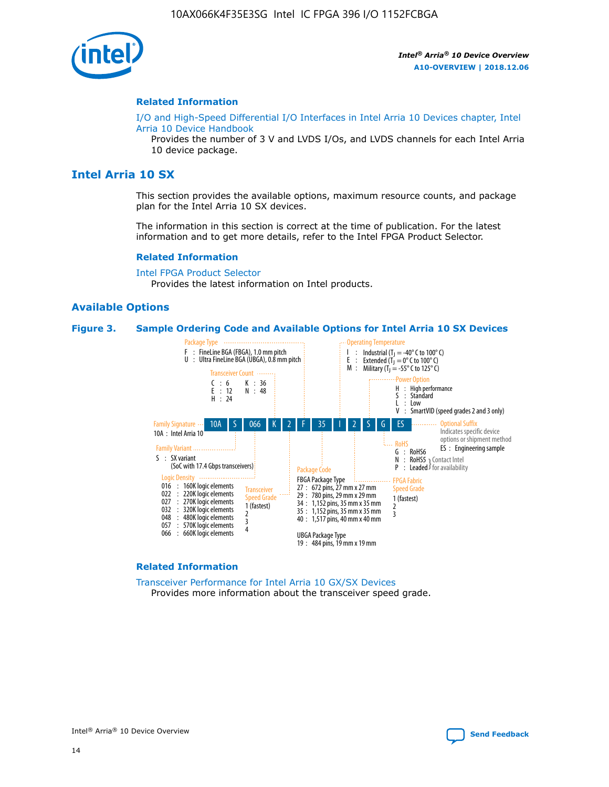

#### **Related Information**

[I/O and High-Speed Differential I/O Interfaces in Intel Arria 10 Devices chapter, Intel](https://www.intel.com/content/www/us/en/programmable/documentation/sam1403482614086.html#sam1403482030321) [Arria 10 Device Handbook](https://www.intel.com/content/www/us/en/programmable/documentation/sam1403482614086.html#sam1403482030321)

Provides the number of 3 V and LVDS I/Os, and LVDS channels for each Intel Arria 10 device package.

## **Intel Arria 10 SX**

This section provides the available options, maximum resource counts, and package plan for the Intel Arria 10 SX devices.

The information in this section is correct at the time of publication. For the latest information and to get more details, refer to the Intel FPGA Product Selector.

#### **Related Information**

[Intel FPGA Product Selector](http://www.altera.com/products/selector/psg-selector.html) Provides the latest information on Intel products.

## **Available Options**

#### **Figure 3. Sample Ordering Code and Available Options for Intel Arria 10 SX Devices**



#### **Related Information**

[Transceiver Performance for Intel Arria 10 GX/SX Devices](https://www.intel.com/content/www/us/en/programmable/documentation/mcn1413182292568.html#mcn1413213965502) Provides more information about the transceiver speed grade.

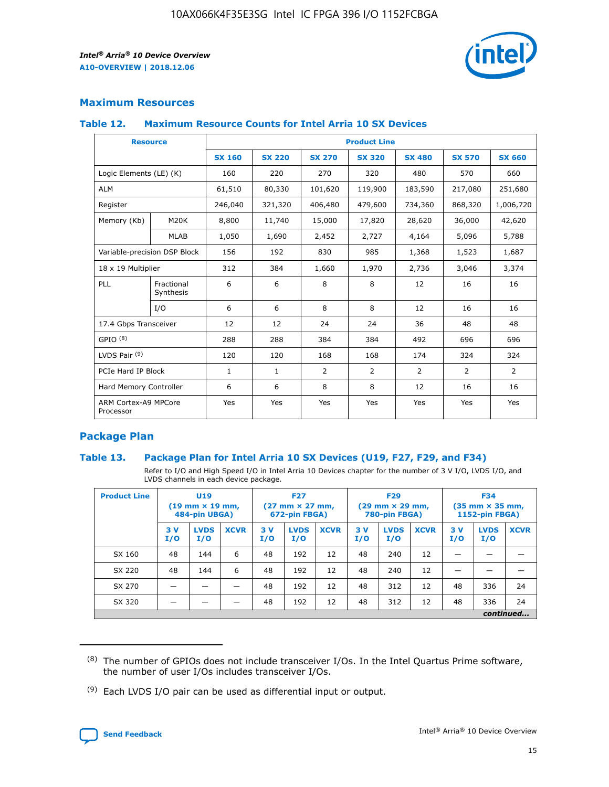

## **Maximum Resources**

#### **Table 12. Maximum Resource Counts for Intel Arria 10 SX Devices**

| <b>Resource</b>                   |                         | <b>Product Line</b> |               |                |                |                |                |                |  |  |  |
|-----------------------------------|-------------------------|---------------------|---------------|----------------|----------------|----------------|----------------|----------------|--|--|--|
|                                   |                         | <b>SX 160</b>       | <b>SX 220</b> | <b>SX 270</b>  | <b>SX 320</b>  | <b>SX 480</b>  | <b>SX 570</b>  | <b>SX 660</b>  |  |  |  |
| Logic Elements (LE) (K)           |                         | 160                 | 220           | 270            | 320            | 480            | 570            | 660            |  |  |  |
| <b>ALM</b>                        |                         | 61,510              | 80,330        | 101,620        | 119,900        | 183,590        | 217,080        | 251,680        |  |  |  |
| Register                          |                         | 246,040             | 321,320       | 406,480        | 479,600        | 734,360        | 868,320        | 1,006,720      |  |  |  |
| Memory (Kb)                       | M <sub>20</sub> K       | 8,800               | 11,740        | 15,000         | 17,820         | 28,620         | 36,000         | 42,620         |  |  |  |
|                                   | <b>MLAB</b>             | 1,050               | 1,690         | 2,452          | 2,727          | 4,164          | 5,096          | 5,788          |  |  |  |
| Variable-precision DSP Block      |                         | 156                 | 192           | 830            | 985            | 1,368          | 1,523          | 1,687          |  |  |  |
| 18 x 19 Multiplier                |                         | 312                 | 384           | 1,660          | 1,970          | 2,736          | 3,046          | 3,374          |  |  |  |
| PLL                               | Fractional<br>Synthesis | 6                   | 6             | 8              | 8              | 12             | 16             | 16             |  |  |  |
|                                   | I/O                     | 6                   | 6             | 8              | 8              | 12             | 16             | 16             |  |  |  |
| 17.4 Gbps Transceiver             |                         | 12                  | 12            | 24             | 24             | 36             | 48             | 48             |  |  |  |
| GPIO <sup>(8)</sup>               |                         | 288                 | 288           | 384            | 384            | 492            | 696            | 696            |  |  |  |
| LVDS Pair $(9)$                   |                         | 120                 | 120           | 168            | 168            | 174            | 324            | 324            |  |  |  |
| PCIe Hard IP Block                |                         | $\mathbf{1}$        | $\mathbf{1}$  | $\overline{2}$ | $\overline{2}$ | $\overline{2}$ | $\overline{2}$ | $\overline{2}$ |  |  |  |
| Hard Memory Controller            |                         | 6                   | 6             | 8              | 8              | 12             | 16             | 16             |  |  |  |
| ARM Cortex-A9 MPCore<br>Processor |                         | Yes                 | Yes           | Yes            | Yes            | Yes            | Yes            | <b>Yes</b>     |  |  |  |

## **Package Plan**

## **Table 13. Package Plan for Intel Arria 10 SX Devices (U19, F27, F29, and F34)**

Refer to I/O and High Speed I/O in Intel Arria 10 Devices chapter for the number of 3 V I/O, LVDS I/O, and LVDS channels in each device package.

| <b>Product Line</b> | U <sub>19</sub><br>$(19 \text{ mm} \times 19 \text{ mm})$<br>484-pin UBGA) |                    | <b>F27</b><br>$(27 \text{ mm} \times 27 \text{ mm})$<br>672-pin FBGA) |           | <b>F29</b><br>$(29 \text{ mm} \times 29 \text{ mm})$<br>780-pin FBGA) |             |            | <b>F34</b><br>$(35 \text{ mm} \times 35 \text{ mm})$<br><b>1152-pin FBGA)</b> |             |           |                    |             |
|---------------------|----------------------------------------------------------------------------|--------------------|-----------------------------------------------------------------------|-----------|-----------------------------------------------------------------------|-------------|------------|-------------------------------------------------------------------------------|-------------|-----------|--------------------|-------------|
|                     | 3V<br>I/O                                                                  | <b>LVDS</b><br>I/O | <b>XCVR</b>                                                           | 3V<br>I/O | <b>LVDS</b><br>I/O                                                    | <b>XCVR</b> | 3 V<br>I/O | <b>LVDS</b><br>I/O                                                            | <b>XCVR</b> | 3V<br>I/O | <b>LVDS</b><br>I/O | <b>XCVR</b> |
| SX 160              | 48                                                                         | 144                | 6                                                                     | 48        | 192                                                                   | 12          | 48         | 240                                                                           | 12          | –         |                    |             |
| SX 220              | 48                                                                         | 144                | 6                                                                     | 48        | 192                                                                   | 12          | 48         | 240                                                                           | 12          |           |                    |             |
| SX 270              |                                                                            |                    |                                                                       | 48        | 192                                                                   | 12          | 48         | 312                                                                           | 12          | 48        | 336                | 24          |
| SX 320              |                                                                            |                    |                                                                       | 48        | 192                                                                   | 12          | 48         | 312                                                                           | 12          | 48        | 336                | 24          |
|                     | continued                                                                  |                    |                                                                       |           |                                                                       |             |            |                                                                               |             |           |                    |             |

 $(8)$  The number of GPIOs does not include transceiver I/Os. In the Intel Quartus Prime software, the number of user I/Os includes transceiver I/Os.

 $(9)$  Each LVDS I/O pair can be used as differential input or output.

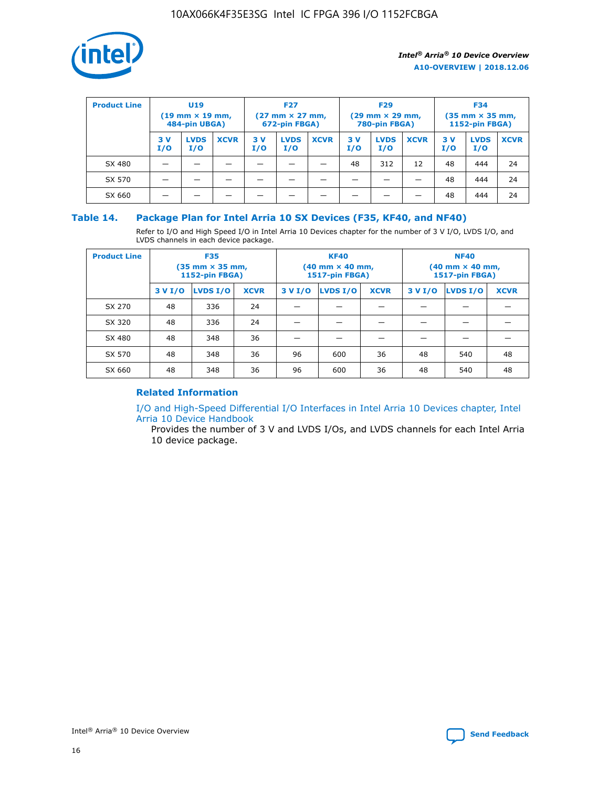

| <b>Product Line</b> | U <sub>19</sub><br>$(19 \text{ mm} \times 19 \text{ mm})$<br>484-pin UBGA) |                    | <b>F27</b><br>$(27 \text{ mm} \times 27 \text{ mm})$<br>672-pin FBGA) |            | <b>F29</b><br>$(29 \text{ mm} \times 29 \text{ mm})$<br>780-pin FBGA) |             |           | <b>F34</b><br>$(35$ mm $\times$ 35 mm,<br><b>1152-pin FBGA)</b> |             |           |                    |             |
|---------------------|----------------------------------------------------------------------------|--------------------|-----------------------------------------------------------------------|------------|-----------------------------------------------------------------------|-------------|-----------|-----------------------------------------------------------------|-------------|-----------|--------------------|-------------|
|                     | 3V<br>I/O                                                                  | <b>LVDS</b><br>I/O | <b>XCVR</b>                                                           | 3 V<br>I/O | <b>LVDS</b><br>I/O                                                    | <b>XCVR</b> | 3V<br>I/O | <b>LVDS</b><br>I/O                                              | <b>XCVR</b> | 3V<br>I/O | <b>LVDS</b><br>I/O | <b>XCVR</b> |
| SX 480              |                                                                            |                    |                                                                       |            |                                                                       |             | 48        | 312                                                             | 12          | 48        | 444                | 24          |
| SX 570              |                                                                            |                    |                                                                       |            |                                                                       |             |           |                                                                 |             | 48        | 444                | 24          |
| SX 660              |                                                                            |                    |                                                                       |            |                                                                       |             |           |                                                                 |             | 48        | 444                | 24          |

## **Table 14. Package Plan for Intel Arria 10 SX Devices (F35, KF40, and NF40)**

Refer to I/O and High Speed I/O in Intel Arria 10 Devices chapter for the number of 3 V I/O, LVDS I/O, and LVDS channels in each device package.

| <b>Product Line</b> | <b>F35</b><br>$(35 \text{ mm} \times 35 \text{ mm})$<br><b>1152-pin FBGA)</b> |          |             |                                           | <b>KF40</b><br>(40 mm × 40 mm,<br>1517-pin FBGA) |    | <b>NF40</b><br>$(40 \text{ mm} \times 40 \text{ mm})$<br>1517-pin FBGA) |          |             |  |
|---------------------|-------------------------------------------------------------------------------|----------|-------------|-------------------------------------------|--------------------------------------------------|----|-------------------------------------------------------------------------|----------|-------------|--|
|                     | 3 V I/O                                                                       | LVDS I/O | <b>XCVR</b> | <b>LVDS I/O</b><br><b>XCVR</b><br>3 V I/O |                                                  |    | 3 V I/O                                                                 | LVDS I/O | <b>XCVR</b> |  |
| SX 270              | 48                                                                            | 336      | 24          |                                           |                                                  |    |                                                                         |          |             |  |
| SX 320              | 48                                                                            | 336      | 24          |                                           |                                                  |    |                                                                         |          |             |  |
| SX 480              | 48                                                                            | 348      | 36          |                                           |                                                  |    |                                                                         |          |             |  |
| SX 570              | 48                                                                            | 348      | 36          | 96                                        | 600                                              | 36 | 48                                                                      | 540      | 48          |  |
| SX 660              | 48                                                                            | 348      | 36          | 96                                        | 600                                              | 36 | 48                                                                      | 540      | 48          |  |

## **Related Information**

[I/O and High-Speed Differential I/O Interfaces in Intel Arria 10 Devices chapter, Intel](https://www.intel.com/content/www/us/en/programmable/documentation/sam1403482614086.html#sam1403482030321) [Arria 10 Device Handbook](https://www.intel.com/content/www/us/en/programmable/documentation/sam1403482614086.html#sam1403482030321)

Provides the number of 3 V and LVDS I/Os, and LVDS channels for each Intel Arria 10 device package.

Intel<sup>®</sup> Arria<sup>®</sup> 10 Device Overview **[Send Feedback](mailto:FPGAtechdocfeedback@intel.com?subject=Feedback%20on%20Intel%20Arria%2010%20Device%20Overview%20(A10-OVERVIEW%202018.12.06)&body=We%20appreciate%20your%20feedback.%20In%20your%20comments,%20also%20specify%20the%20page%20number%20or%20paragraph.%20Thank%20you.)** Send Feedback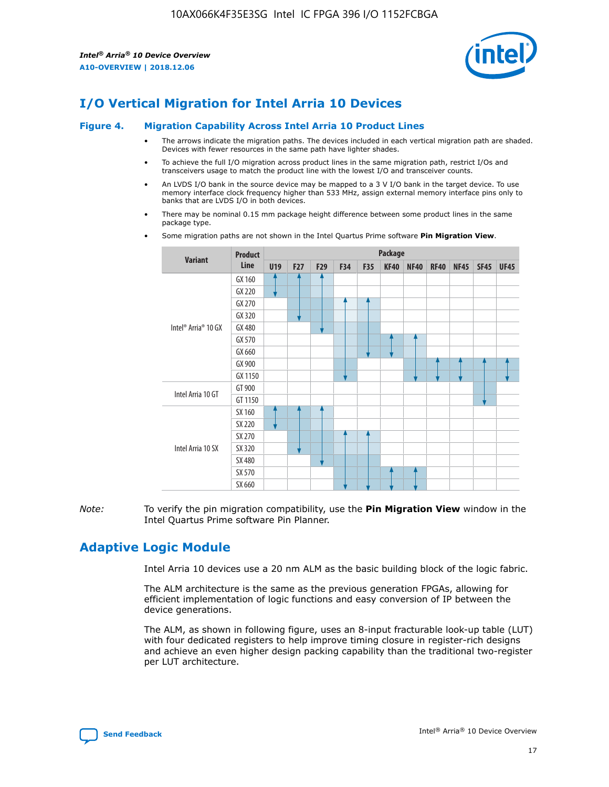

# **I/O Vertical Migration for Intel Arria 10 Devices**

#### **Figure 4. Migration Capability Across Intel Arria 10 Product Lines**

- The arrows indicate the migration paths. The devices included in each vertical migration path are shaded. Devices with fewer resources in the same path have lighter shades.
- To achieve the full I/O migration across product lines in the same migration path, restrict I/Os and transceivers usage to match the product line with the lowest I/O and transceiver counts.
- An LVDS I/O bank in the source device may be mapped to a 3 V I/O bank in the target device. To use memory interface clock frequency higher than 533 MHz, assign external memory interface pins only to banks that are LVDS I/O in both devices.
- There may be nominal 0.15 mm package height difference between some product lines in the same package type.
	- **Variant Product Line Package U19 F27 F29 F34 F35 KF40 NF40 RF40 NF45 SF45 UF45** Intel® Arria® 10 GX GX 160 GX 220 GX 270 GX 320 GX 480 GX 570 GX 660 GX 900 GX 1150 Intel Arria 10 GT GT 900 GT 1150 Intel Arria 10 SX SX 160 SX 220 SX 270 SX 320 SX 480 SX 570 SX 660
- Some migration paths are not shown in the Intel Quartus Prime software **Pin Migration View**.

*Note:* To verify the pin migration compatibility, use the **Pin Migration View** window in the Intel Quartus Prime software Pin Planner.

# **Adaptive Logic Module**

Intel Arria 10 devices use a 20 nm ALM as the basic building block of the logic fabric.

The ALM architecture is the same as the previous generation FPGAs, allowing for efficient implementation of logic functions and easy conversion of IP between the device generations.

The ALM, as shown in following figure, uses an 8-input fracturable look-up table (LUT) with four dedicated registers to help improve timing closure in register-rich designs and achieve an even higher design packing capability than the traditional two-register per LUT architecture.

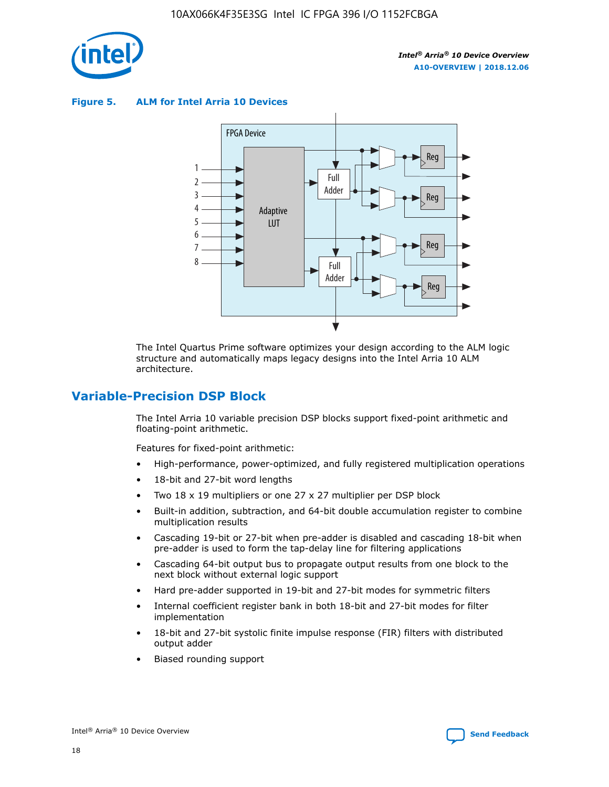

**Figure 5. ALM for Intel Arria 10 Devices**



The Intel Quartus Prime software optimizes your design according to the ALM logic structure and automatically maps legacy designs into the Intel Arria 10 ALM architecture.

## **Variable-Precision DSP Block**

The Intel Arria 10 variable precision DSP blocks support fixed-point arithmetic and floating-point arithmetic.

Features for fixed-point arithmetic:

- High-performance, power-optimized, and fully registered multiplication operations
- 18-bit and 27-bit word lengths
- Two 18 x 19 multipliers or one 27 x 27 multiplier per DSP block
- Built-in addition, subtraction, and 64-bit double accumulation register to combine multiplication results
- Cascading 19-bit or 27-bit when pre-adder is disabled and cascading 18-bit when pre-adder is used to form the tap-delay line for filtering applications
- Cascading 64-bit output bus to propagate output results from one block to the next block without external logic support
- Hard pre-adder supported in 19-bit and 27-bit modes for symmetric filters
- Internal coefficient register bank in both 18-bit and 27-bit modes for filter implementation
- 18-bit and 27-bit systolic finite impulse response (FIR) filters with distributed output adder
- Biased rounding support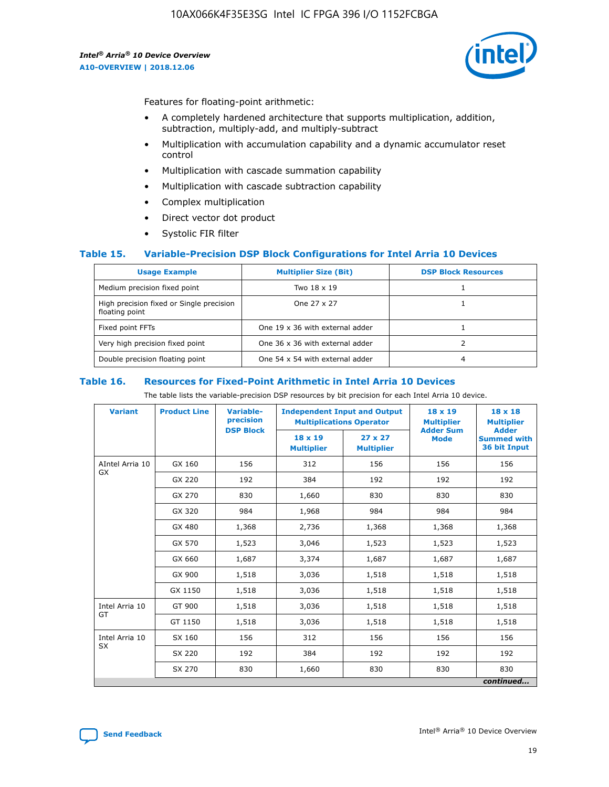

Features for floating-point arithmetic:

- A completely hardened architecture that supports multiplication, addition, subtraction, multiply-add, and multiply-subtract
- Multiplication with accumulation capability and a dynamic accumulator reset control
- Multiplication with cascade summation capability
- Multiplication with cascade subtraction capability
- Complex multiplication
- Direct vector dot product
- Systolic FIR filter

## **Table 15. Variable-Precision DSP Block Configurations for Intel Arria 10 Devices**

| <b>Usage Example</b>                                       | <b>Multiplier Size (Bit)</b>    | <b>DSP Block Resources</b> |
|------------------------------------------------------------|---------------------------------|----------------------------|
| Medium precision fixed point                               | Two 18 x 19                     |                            |
| High precision fixed or Single precision<br>floating point | One 27 x 27                     |                            |
| Fixed point FFTs                                           | One 19 x 36 with external adder |                            |
| Very high precision fixed point                            | One 36 x 36 with external adder |                            |
| Double precision floating point                            | One 54 x 54 with external adder | 4                          |

#### **Table 16. Resources for Fixed-Point Arithmetic in Intel Arria 10 Devices**

The table lists the variable-precision DSP resources by bit precision for each Intel Arria 10 device.

| <b>Variant</b>  | <b>Product Line</b> | <b>Variable-</b><br>precision<br><b>DSP Block</b> | <b>Independent Input and Output</b><br><b>Multiplications Operator</b> |                                     | $18 \times 19$<br><b>Multiplier</b><br><b>Adder Sum</b> | $18 \times 18$<br><b>Multiplier</b><br><b>Adder</b> |
|-----------------|---------------------|---------------------------------------------------|------------------------------------------------------------------------|-------------------------------------|---------------------------------------------------------|-----------------------------------------------------|
|                 |                     |                                                   | 18 x 19<br><b>Multiplier</b>                                           | $27 \times 27$<br><b>Multiplier</b> | <b>Mode</b>                                             | <b>Summed with</b><br>36 bit Input                  |
| AIntel Arria 10 | GX 160              | 156                                               | 312                                                                    | 156                                 | 156                                                     | 156                                                 |
| GX              | GX 220              | 192                                               | 384                                                                    | 192                                 | 192                                                     | 192                                                 |
|                 | GX 270              | 830                                               | 1,660                                                                  | 830                                 | 830                                                     | 830                                                 |
|                 | GX 320              | 984                                               | 1,968                                                                  | 984                                 | 984                                                     | 984                                                 |
|                 | GX 480              | 1,368                                             | 2,736                                                                  | 1,368                               | 1,368                                                   | 1,368                                               |
|                 | GX 570              | 1,523                                             | 3,046                                                                  | 1,523                               | 1,523                                                   | 1,523                                               |
|                 | GX 660              | 1,687                                             | 3,374                                                                  | 1,687                               | 1,687                                                   | 1,687                                               |
|                 | GX 900              | 1,518                                             | 3,036                                                                  | 1,518                               | 1,518                                                   | 1,518                                               |
|                 | GX 1150             | 1,518                                             | 3,036                                                                  | 1,518                               | 1,518                                                   | 1,518                                               |
| Intel Arria 10  | GT 900              | 1,518                                             | 3,036                                                                  | 1,518                               | 1,518                                                   | 1,518                                               |
| GT              | GT 1150             | 1,518                                             | 3,036                                                                  | 1,518                               | 1,518                                                   | 1,518                                               |
| Intel Arria 10  | SX 160              | 156                                               | 312                                                                    | 156                                 | 156                                                     | 156                                                 |
| <b>SX</b>       | SX 220<br>192       |                                                   | 384                                                                    | 192                                 | 192                                                     | 192                                                 |
|                 | SX 270              | 830                                               | 1,660                                                                  | 830                                 | 830                                                     | 830                                                 |
|                 |                     |                                                   |                                                                        |                                     |                                                         | continued                                           |

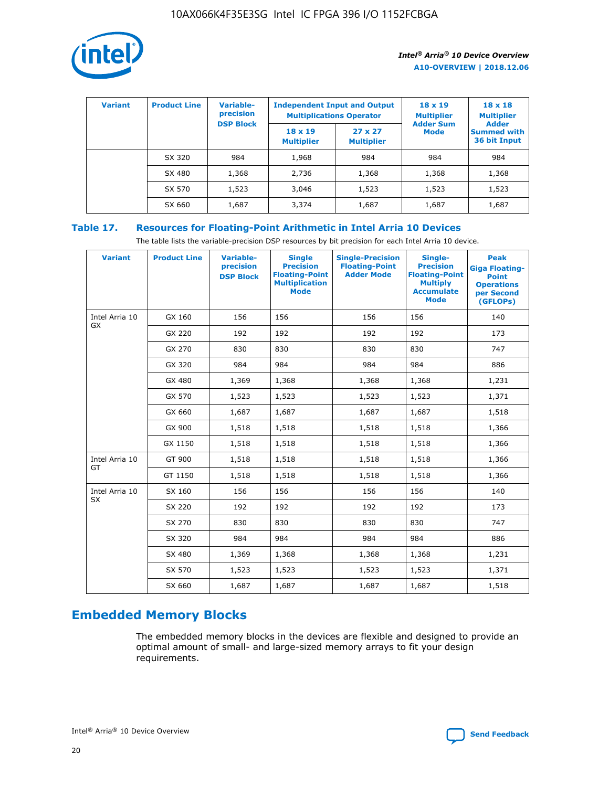

| <b>Variant</b> | <b>Product Line</b> | Variable-<br>precision | <b>Independent Input and Output</b><br><b>Multiplications Operator</b> |                                     | $18 \times 19$<br><b>Multiplier</b> | $18 \times 18$<br><b>Multiplier</b><br><b>Adder</b> |  |
|----------------|---------------------|------------------------|------------------------------------------------------------------------|-------------------------------------|-------------------------------------|-----------------------------------------------------|--|
|                |                     | <b>DSP Block</b>       | $18 \times 19$<br><b>Multiplier</b>                                    | $27 \times 27$<br><b>Multiplier</b> | <b>Adder Sum</b><br><b>Mode</b>     | <b>Summed with</b><br>36 bit Input                  |  |
|                | SX 320              | 984                    | 1,968                                                                  | 984                                 | 984                                 | 984                                                 |  |
|                | SX 480              | 1,368                  | 2,736                                                                  | 1,368                               | 1,368                               | 1,368                                               |  |
|                | SX 570              | 1,523                  | 3,046                                                                  | 1,523                               | 1,523                               | 1,523                                               |  |
|                | SX 660              | 1,687                  | 3,374                                                                  | 1,687                               | 1,687                               | 1,687                                               |  |

## **Table 17. Resources for Floating-Point Arithmetic in Intel Arria 10 Devices**

The table lists the variable-precision DSP resources by bit precision for each Intel Arria 10 device.

| <b>Variant</b> | <b>Product Line</b> | <b>Variable-</b><br>precision<br><b>DSP Block</b> | <b>Single</b><br><b>Precision</b><br><b>Floating-Point</b><br><b>Multiplication</b><br><b>Mode</b> | <b>Single-Precision</b><br><b>Floating-Point</b><br><b>Adder Mode</b> | Single-<br><b>Precision</b><br><b>Floating-Point</b><br><b>Multiply</b><br><b>Accumulate</b><br><b>Mode</b> | <b>Peak</b><br><b>Giga Floating-</b><br><b>Point</b><br><b>Operations</b><br>per Second<br>(GFLOPs) |
|----------------|---------------------|---------------------------------------------------|----------------------------------------------------------------------------------------------------|-----------------------------------------------------------------------|-------------------------------------------------------------------------------------------------------------|-----------------------------------------------------------------------------------------------------|
| Intel Arria 10 | GX 160              | 156                                               | 156                                                                                                | 156                                                                   | 156                                                                                                         | 140                                                                                                 |
| <b>GX</b>      | GX 220              | 192                                               | 192                                                                                                | 192                                                                   | 192                                                                                                         | 173                                                                                                 |
|                | GX 270              | 830                                               | 830                                                                                                | 830                                                                   | 830                                                                                                         | 747                                                                                                 |
|                | GX 320              | 984                                               | 984                                                                                                | 984                                                                   | 984                                                                                                         | 886                                                                                                 |
|                | GX 480              | 1,369                                             | 1,368                                                                                              | 1,368                                                                 | 1,368                                                                                                       | 1,231                                                                                               |
|                | GX 570              | 1,523                                             | 1,523                                                                                              | 1,523                                                                 | 1,523                                                                                                       | 1,371                                                                                               |
|                | GX 660              | 1,687                                             | 1,687                                                                                              | 1,687                                                                 | 1,687                                                                                                       | 1,518                                                                                               |
|                | GX 900              | 1,518                                             | 1,518                                                                                              | 1,518                                                                 | 1,518                                                                                                       | 1,366                                                                                               |
|                | GX 1150             | 1,518                                             | 1,518                                                                                              | 1,518                                                                 | 1,518                                                                                                       | 1,366                                                                                               |
| Intel Arria 10 | GT 900              | 1,518                                             | 1,518                                                                                              | 1,518                                                                 | 1,518                                                                                                       | 1,366                                                                                               |
| GT             | GT 1150             | 1,518                                             | 1,518                                                                                              | 1,518                                                                 | 1,518                                                                                                       | 1,366                                                                                               |
| Intel Arria 10 | SX 160              | 156                                               | 156                                                                                                | 156                                                                   | 156                                                                                                         | 140                                                                                                 |
| SX             | SX 220              | 192                                               | 192                                                                                                | 192                                                                   | 192                                                                                                         | 173                                                                                                 |
|                | SX 270              | 830                                               | 830                                                                                                | 830                                                                   | 830                                                                                                         | 747                                                                                                 |
|                | SX 320              | 984                                               | 984                                                                                                | 984                                                                   | 984                                                                                                         | 886                                                                                                 |
|                | SX 480              | 1,369                                             | 1,368                                                                                              | 1,368                                                                 | 1,368                                                                                                       | 1,231                                                                                               |
|                | SX 570              | 1,523                                             | 1,523                                                                                              | 1,523                                                                 | 1,523                                                                                                       | 1,371                                                                                               |
|                | SX 660              | 1,687                                             | 1,687                                                                                              | 1,687                                                                 | 1,687                                                                                                       | 1,518                                                                                               |

# **Embedded Memory Blocks**

The embedded memory blocks in the devices are flexible and designed to provide an optimal amount of small- and large-sized memory arrays to fit your design requirements.

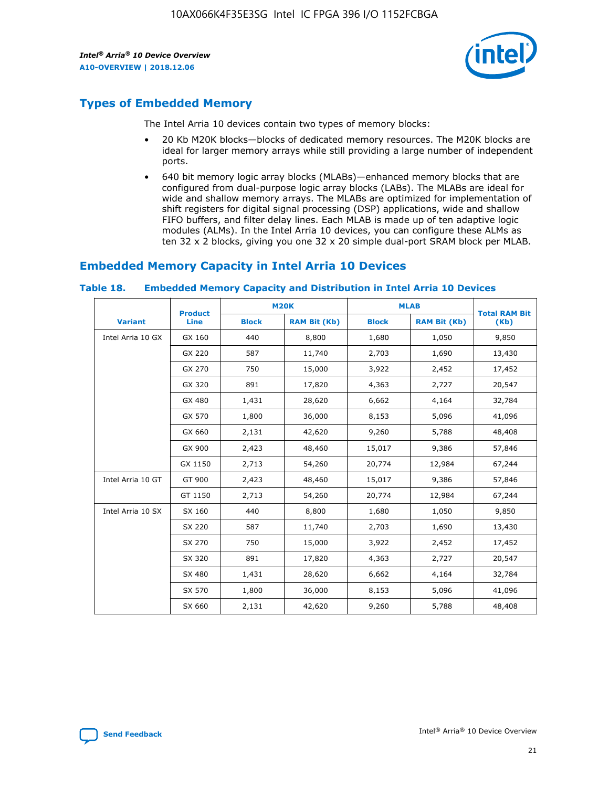

# **Types of Embedded Memory**

The Intel Arria 10 devices contain two types of memory blocks:

- 20 Kb M20K blocks—blocks of dedicated memory resources. The M20K blocks are ideal for larger memory arrays while still providing a large number of independent ports.
- 640 bit memory logic array blocks (MLABs)—enhanced memory blocks that are configured from dual-purpose logic array blocks (LABs). The MLABs are ideal for wide and shallow memory arrays. The MLABs are optimized for implementation of shift registers for digital signal processing (DSP) applications, wide and shallow FIFO buffers, and filter delay lines. Each MLAB is made up of ten adaptive logic modules (ALMs). In the Intel Arria 10 devices, you can configure these ALMs as ten 32 x 2 blocks, giving you one 32 x 20 simple dual-port SRAM block per MLAB.

# **Embedded Memory Capacity in Intel Arria 10 Devices**

|                   | <b>Product</b> | <b>M20K</b>  |                     | <b>MLAB</b>  |                     | <b>Total RAM Bit</b> |
|-------------------|----------------|--------------|---------------------|--------------|---------------------|----------------------|
| <b>Variant</b>    | <b>Line</b>    | <b>Block</b> | <b>RAM Bit (Kb)</b> | <b>Block</b> | <b>RAM Bit (Kb)</b> | (Kb)                 |
| Intel Arria 10 GX | GX 160         | 440          | 8,800               | 1,680        | 1,050               | 9,850                |
|                   | GX 220         | 587          | 11,740              | 2,703        | 1,690               | 13,430               |
|                   | GX 270         | 750          | 15,000              | 3,922        | 2,452               | 17,452               |
|                   | GX 320         | 891          | 17,820              | 4,363        | 2,727               | 20,547               |
|                   | GX 480         | 1,431        | 28,620              | 6,662        | 4,164               | 32,784               |
|                   | GX 570         | 1,800        | 36,000              | 8,153        | 5,096               | 41,096               |
|                   | GX 660         | 2,131        | 42,620              | 9,260        | 5,788               | 48,408               |
|                   | GX 900         | 2,423        | 48,460              | 15,017       | 9,386               | 57,846               |
|                   | GX 1150        | 2,713        | 54,260              | 20,774       | 12,984              | 67,244               |
| Intel Arria 10 GT | GT 900         | 2,423        | 48,460              | 15,017       | 9,386               | 57,846               |
|                   | GT 1150        | 2,713        | 54,260              | 20,774       | 12,984              | 67,244               |
| Intel Arria 10 SX | SX 160         | 440          | 8,800               | 1,680        | 1,050               | 9,850                |
|                   | SX 220         | 587          | 11,740              | 2,703        | 1,690               | 13,430               |
|                   | SX 270         | 750          | 15,000              | 3,922        | 2,452               | 17,452               |
|                   | SX 320         | 891          | 17,820              | 4,363        | 2,727               | 20,547               |
|                   | SX 480         | 1,431        | 28,620              | 6,662        | 4,164               | 32,784               |
|                   | SX 570         | 1,800        | 36,000              | 8,153        | 5,096               | 41,096               |
|                   | SX 660         | 2,131        | 42,620              | 9,260        | 5,788               | 48,408               |

#### **Table 18. Embedded Memory Capacity and Distribution in Intel Arria 10 Devices**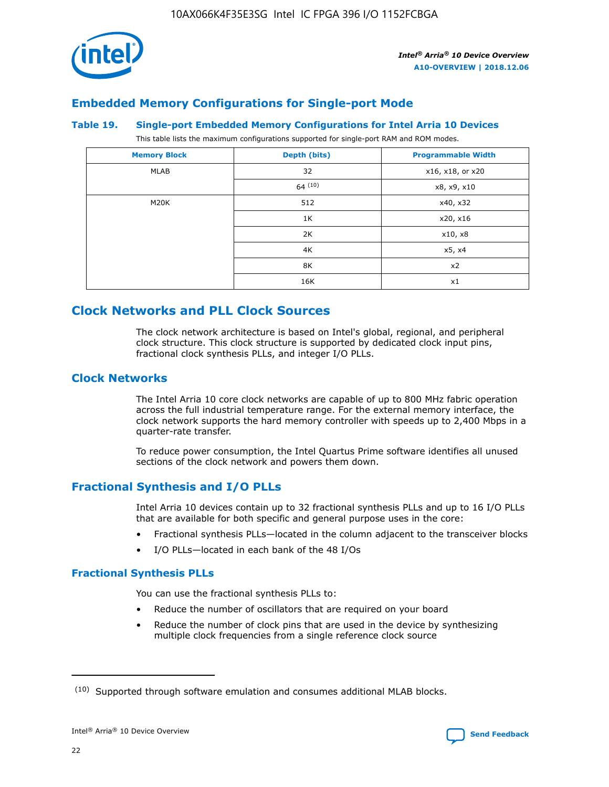

## **Embedded Memory Configurations for Single-port Mode**

#### **Table 19. Single-port Embedded Memory Configurations for Intel Arria 10 Devices**

This table lists the maximum configurations supported for single-port RAM and ROM modes.

| <b>Memory Block</b> | Depth (bits) | <b>Programmable Width</b> |
|---------------------|--------------|---------------------------|
| MLAB                | 32           | x16, x18, or x20          |
|                     | 64(10)       | x8, x9, x10               |
| M20K                | 512          | x40, x32                  |
|                     | 1K           | x20, x16                  |
|                     | 2K           | x10, x8                   |
|                     | 4K           | x5, x4                    |
|                     | 8K           | x2                        |
|                     | 16K          | x1                        |

# **Clock Networks and PLL Clock Sources**

The clock network architecture is based on Intel's global, regional, and peripheral clock structure. This clock structure is supported by dedicated clock input pins, fractional clock synthesis PLLs, and integer I/O PLLs.

## **Clock Networks**

The Intel Arria 10 core clock networks are capable of up to 800 MHz fabric operation across the full industrial temperature range. For the external memory interface, the clock network supports the hard memory controller with speeds up to 2,400 Mbps in a quarter-rate transfer.

To reduce power consumption, the Intel Quartus Prime software identifies all unused sections of the clock network and powers them down.

## **Fractional Synthesis and I/O PLLs**

Intel Arria 10 devices contain up to 32 fractional synthesis PLLs and up to 16 I/O PLLs that are available for both specific and general purpose uses in the core:

- Fractional synthesis PLLs—located in the column adjacent to the transceiver blocks
- I/O PLLs—located in each bank of the 48 I/Os

## **Fractional Synthesis PLLs**

You can use the fractional synthesis PLLs to:

- Reduce the number of oscillators that are required on your board
- Reduce the number of clock pins that are used in the device by synthesizing multiple clock frequencies from a single reference clock source

<sup>(10)</sup> Supported through software emulation and consumes additional MLAB blocks.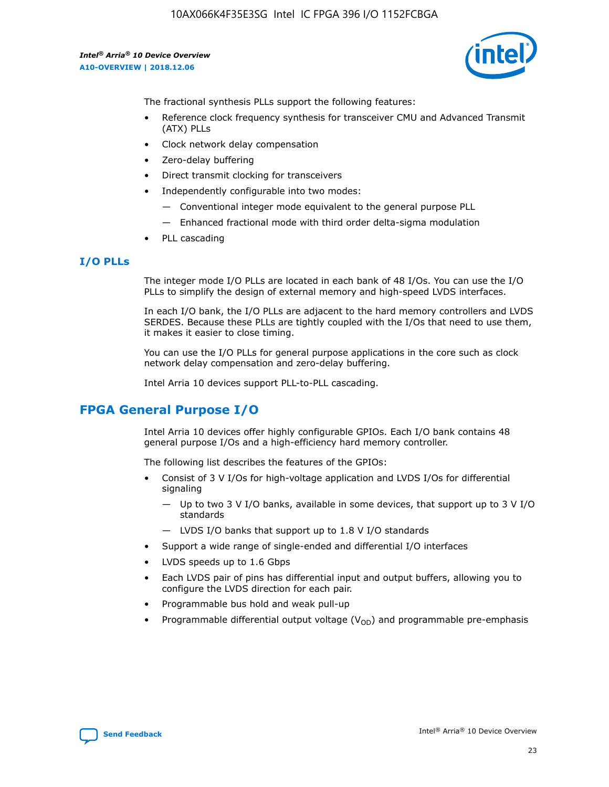10AX066K4F35E3SG Intel IC FPGA 396 I/O 1152FCBGA

*Intel® Arria® 10 Device Overview* **A10-OVERVIEW | 2018.12.06**



The fractional synthesis PLLs support the following features:

- Reference clock frequency synthesis for transceiver CMU and Advanced Transmit (ATX) PLLs
- Clock network delay compensation
- Zero-delay buffering
- Direct transmit clocking for transceivers
- Independently configurable into two modes:
	- Conventional integer mode equivalent to the general purpose PLL
	- Enhanced fractional mode with third order delta-sigma modulation
- PLL cascading

## **I/O PLLs**

The integer mode I/O PLLs are located in each bank of 48 I/Os. You can use the I/O PLLs to simplify the design of external memory and high-speed LVDS interfaces.

In each I/O bank, the I/O PLLs are adjacent to the hard memory controllers and LVDS SERDES. Because these PLLs are tightly coupled with the I/Os that need to use them, it makes it easier to close timing.

You can use the I/O PLLs for general purpose applications in the core such as clock network delay compensation and zero-delay buffering.

Intel Arria 10 devices support PLL-to-PLL cascading.

## **FPGA General Purpose I/O**

Intel Arria 10 devices offer highly configurable GPIOs. Each I/O bank contains 48 general purpose I/Os and a high-efficiency hard memory controller.

The following list describes the features of the GPIOs:

- Consist of 3 V I/Os for high-voltage application and LVDS I/Os for differential signaling
	- Up to two 3 V I/O banks, available in some devices, that support up to 3 V I/O standards
	- LVDS I/O banks that support up to 1.8 V I/O standards
- Support a wide range of single-ended and differential I/O interfaces
- LVDS speeds up to 1.6 Gbps
- Each LVDS pair of pins has differential input and output buffers, allowing you to configure the LVDS direction for each pair.
- Programmable bus hold and weak pull-up
- Programmable differential output voltage  $(V_{OD})$  and programmable pre-emphasis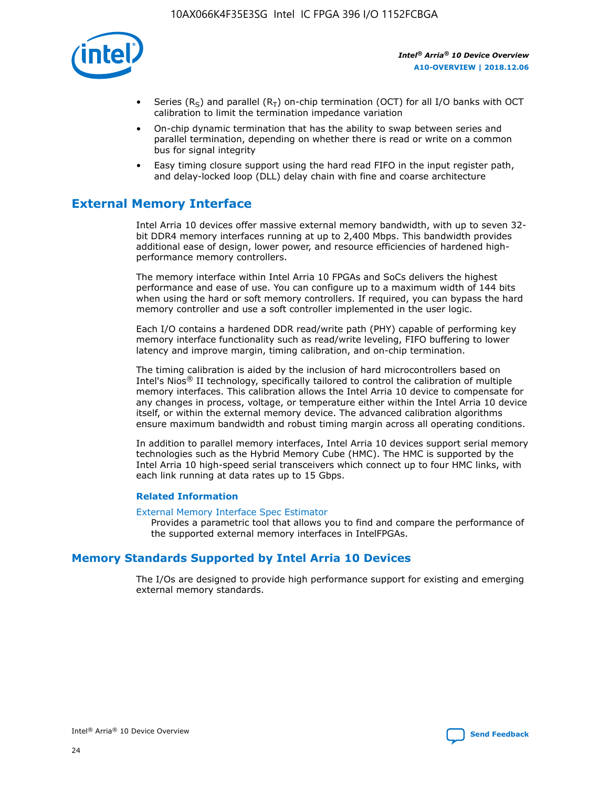

- Series (R<sub>S</sub>) and parallel (R<sub>T</sub>) on-chip termination (OCT) for all I/O banks with OCT calibration to limit the termination impedance variation
- On-chip dynamic termination that has the ability to swap between series and parallel termination, depending on whether there is read or write on a common bus for signal integrity
- Easy timing closure support using the hard read FIFO in the input register path, and delay-locked loop (DLL) delay chain with fine and coarse architecture

# **External Memory Interface**

Intel Arria 10 devices offer massive external memory bandwidth, with up to seven 32 bit DDR4 memory interfaces running at up to 2,400 Mbps. This bandwidth provides additional ease of design, lower power, and resource efficiencies of hardened highperformance memory controllers.

The memory interface within Intel Arria 10 FPGAs and SoCs delivers the highest performance and ease of use. You can configure up to a maximum width of 144 bits when using the hard or soft memory controllers. If required, you can bypass the hard memory controller and use a soft controller implemented in the user logic.

Each I/O contains a hardened DDR read/write path (PHY) capable of performing key memory interface functionality such as read/write leveling, FIFO buffering to lower latency and improve margin, timing calibration, and on-chip termination.

The timing calibration is aided by the inclusion of hard microcontrollers based on Intel's Nios® II technology, specifically tailored to control the calibration of multiple memory interfaces. This calibration allows the Intel Arria 10 device to compensate for any changes in process, voltage, or temperature either within the Intel Arria 10 device itself, or within the external memory device. The advanced calibration algorithms ensure maximum bandwidth and robust timing margin across all operating conditions.

In addition to parallel memory interfaces, Intel Arria 10 devices support serial memory technologies such as the Hybrid Memory Cube (HMC). The HMC is supported by the Intel Arria 10 high-speed serial transceivers which connect up to four HMC links, with each link running at data rates up to 15 Gbps.

## **Related Information**

#### [External Memory Interface Spec Estimator](http://www.altera.com/technology/memory/estimator/mem-emif-index.html)

Provides a parametric tool that allows you to find and compare the performance of the supported external memory interfaces in IntelFPGAs.

## **Memory Standards Supported by Intel Arria 10 Devices**

The I/Os are designed to provide high performance support for existing and emerging external memory standards.

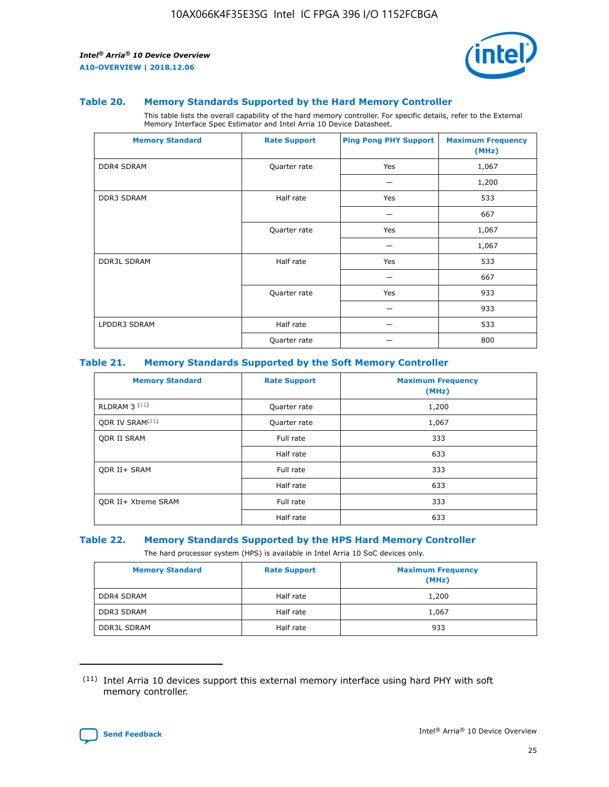

#### **Table 20. Memory Standards Supported by the Hard Memory Controller**

This table lists the overall capability of the hard memory controller. For specific details, refer to the External Memory Interface Spec Estimator and Intel Arria 10 Device Datasheet.

| <b>Memory Standard</b> | <b>Rate Support</b> | <b>Ping Pong PHY Support</b> | <b>Maximum Frequency</b><br>(MHz) |
|------------------------|---------------------|------------------------------|-----------------------------------|
| <b>DDR4 SDRAM</b>      | Quarter rate        | Yes                          | 1,067                             |
|                        |                     |                              | 1,200                             |
| <b>DDR3 SDRAM</b>      | Half rate           | Yes                          | 533                               |
|                        |                     |                              | 667                               |
|                        | Quarter rate        | Yes                          | 1,067                             |
|                        |                     |                              | 1,067                             |
| <b>DDR3L SDRAM</b>     | Half rate           | Yes                          | 533                               |
|                        |                     |                              | 667                               |
|                        | Quarter rate        | Yes                          | 933                               |
|                        |                     |                              | 933                               |
| LPDDR3 SDRAM           | Half rate           |                              | 533                               |
|                        | Quarter rate        |                              | 800                               |

## **Table 21. Memory Standards Supported by the Soft Memory Controller**

| <b>Memory Standard</b>      | <b>Rate Support</b> | <b>Maximum Frequency</b><br>(MHz) |
|-----------------------------|---------------------|-----------------------------------|
| <b>RLDRAM 3 (11)</b>        | Quarter rate        | 1,200                             |
| ODR IV SRAM <sup>(11)</sup> | Quarter rate        | 1,067                             |
| <b>ODR II SRAM</b>          | Full rate           | 333                               |
|                             | Half rate           | 633                               |
| <b>ODR II+ SRAM</b>         | Full rate           | 333                               |
|                             | Half rate           | 633                               |
| <b>ODR II+ Xtreme SRAM</b>  | Full rate           | 333                               |
|                             | Half rate           | 633                               |

#### **Table 22. Memory Standards Supported by the HPS Hard Memory Controller**

The hard processor system (HPS) is available in Intel Arria 10 SoC devices only.

| <b>Memory Standard</b> | <b>Rate Support</b> | <b>Maximum Frequency</b><br>(MHz) |
|------------------------|---------------------|-----------------------------------|
| <b>DDR4 SDRAM</b>      | Half rate           | 1,200                             |
| <b>DDR3 SDRAM</b>      | Half rate           | 1,067                             |
| <b>DDR3L SDRAM</b>     | Half rate           | 933                               |

<sup>(11)</sup> Intel Arria 10 devices support this external memory interface using hard PHY with soft memory controller.

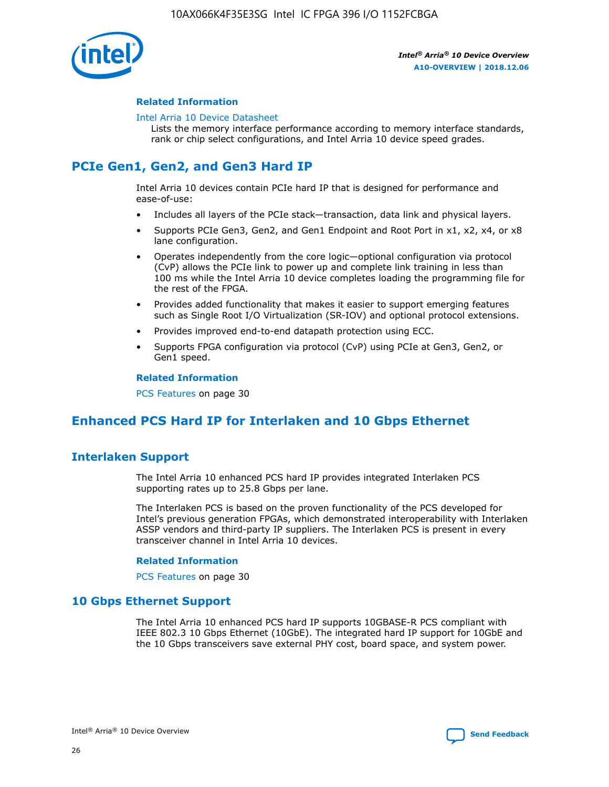

## **Related Information**

#### [Intel Arria 10 Device Datasheet](https://www.intel.com/content/www/us/en/programmable/documentation/mcn1413182292568.html#mcn1413182153340)

Lists the memory interface performance according to memory interface standards, rank or chip select configurations, and Intel Arria 10 device speed grades.

# **PCIe Gen1, Gen2, and Gen3 Hard IP**

Intel Arria 10 devices contain PCIe hard IP that is designed for performance and ease-of-use:

- Includes all layers of the PCIe stack—transaction, data link and physical layers.
- Supports PCIe Gen3, Gen2, and Gen1 Endpoint and Root Port in x1, x2, x4, or x8 lane configuration.
- Operates independently from the core logic—optional configuration via protocol (CvP) allows the PCIe link to power up and complete link training in less than 100 ms while the Intel Arria 10 device completes loading the programming file for the rest of the FPGA.
- Provides added functionality that makes it easier to support emerging features such as Single Root I/O Virtualization (SR-IOV) and optional protocol extensions.
- Provides improved end-to-end datapath protection using ECC.
- Supports FPGA configuration via protocol (CvP) using PCIe at Gen3, Gen2, or Gen1 speed.

#### **Related Information**

PCS Features on page 30

# **Enhanced PCS Hard IP for Interlaken and 10 Gbps Ethernet**

## **Interlaken Support**

The Intel Arria 10 enhanced PCS hard IP provides integrated Interlaken PCS supporting rates up to 25.8 Gbps per lane.

The Interlaken PCS is based on the proven functionality of the PCS developed for Intel's previous generation FPGAs, which demonstrated interoperability with Interlaken ASSP vendors and third-party IP suppliers. The Interlaken PCS is present in every transceiver channel in Intel Arria 10 devices.

## **Related Information**

PCS Features on page 30

## **10 Gbps Ethernet Support**

The Intel Arria 10 enhanced PCS hard IP supports 10GBASE-R PCS compliant with IEEE 802.3 10 Gbps Ethernet (10GbE). The integrated hard IP support for 10GbE and the 10 Gbps transceivers save external PHY cost, board space, and system power.

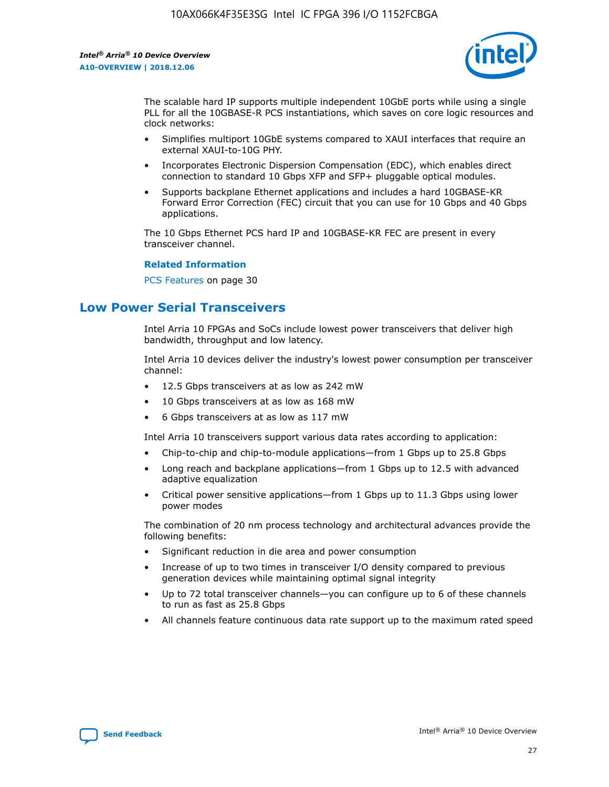

The scalable hard IP supports multiple independent 10GbE ports while using a single PLL for all the 10GBASE-R PCS instantiations, which saves on core logic resources and clock networks:

- Simplifies multiport 10GbE systems compared to XAUI interfaces that require an external XAUI-to-10G PHY.
- Incorporates Electronic Dispersion Compensation (EDC), which enables direct connection to standard 10 Gbps XFP and SFP+ pluggable optical modules.
- Supports backplane Ethernet applications and includes a hard 10GBASE-KR Forward Error Correction (FEC) circuit that you can use for 10 Gbps and 40 Gbps applications.

The 10 Gbps Ethernet PCS hard IP and 10GBASE-KR FEC are present in every transceiver channel.

#### **Related Information**

PCS Features on page 30

# **Low Power Serial Transceivers**

Intel Arria 10 FPGAs and SoCs include lowest power transceivers that deliver high bandwidth, throughput and low latency.

Intel Arria 10 devices deliver the industry's lowest power consumption per transceiver channel:

- 12.5 Gbps transceivers at as low as 242 mW
- 10 Gbps transceivers at as low as 168 mW
- 6 Gbps transceivers at as low as 117 mW

Intel Arria 10 transceivers support various data rates according to application:

- Chip-to-chip and chip-to-module applications—from 1 Gbps up to 25.8 Gbps
- Long reach and backplane applications—from 1 Gbps up to 12.5 with advanced adaptive equalization
- Critical power sensitive applications—from 1 Gbps up to 11.3 Gbps using lower power modes

The combination of 20 nm process technology and architectural advances provide the following benefits:

- Significant reduction in die area and power consumption
- Increase of up to two times in transceiver I/O density compared to previous generation devices while maintaining optimal signal integrity
- Up to 72 total transceiver channels—you can configure up to 6 of these channels to run as fast as 25.8 Gbps
- All channels feature continuous data rate support up to the maximum rated speed

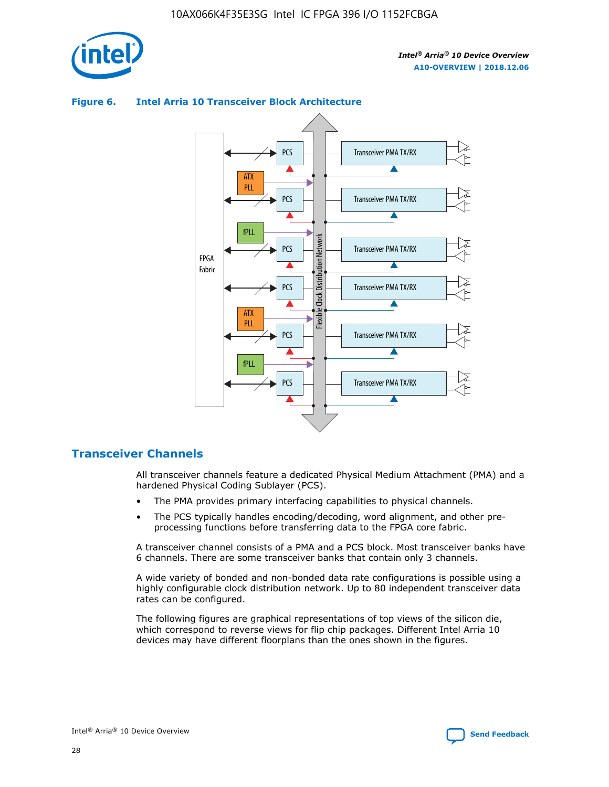



## **Figure 6. Intel Arria 10 Transceiver Block Architecture**

## **Transceiver Channels**

All transceiver channels feature a dedicated Physical Medium Attachment (PMA) and a hardened Physical Coding Sublayer (PCS).

- The PMA provides primary interfacing capabilities to physical channels.
- The PCS typically handles encoding/decoding, word alignment, and other preprocessing functions before transferring data to the FPGA core fabric.

A transceiver channel consists of a PMA and a PCS block. Most transceiver banks have 6 channels. There are some transceiver banks that contain only 3 channels.

A wide variety of bonded and non-bonded data rate configurations is possible using a highly configurable clock distribution network. Up to 80 independent transceiver data rates can be configured.

The following figures are graphical representations of top views of the silicon die, which correspond to reverse views for flip chip packages. Different Intel Arria 10 devices may have different floorplans than the ones shown in the figures.

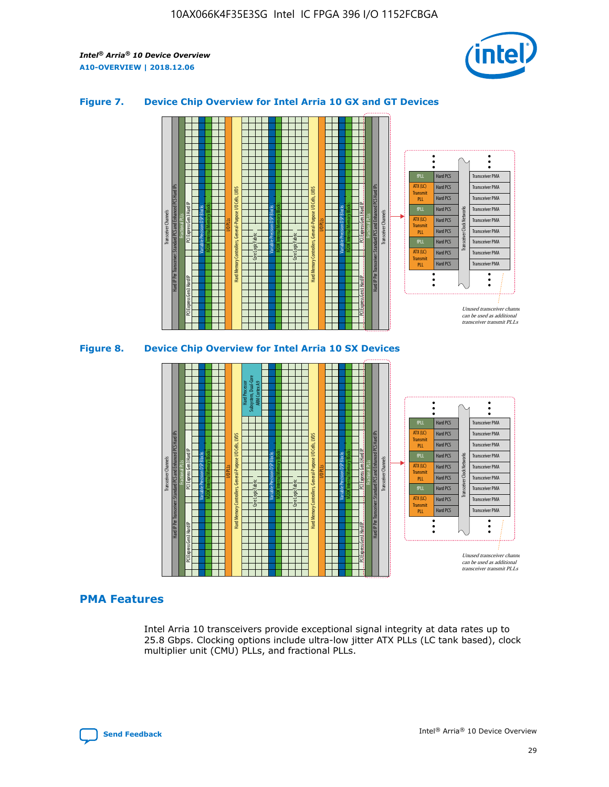

## **Figure 7. Device Chip Overview for Intel Arria 10 GX and GT Devices**



M20K Internal Memory Blocks Core Logic Fabric Transceiver Channels Hard IP Per Transceiver: Standard PCS and Enhanced PCS Hard IPs PCI Express Gen3 Hard IP Fractional PLLs M20K Internal Memory Blocks PCI Express Gen3 Hard IP Variable Precision DSP Blocks I/O PLLs Hard Memory Controllers, General-Purpose I/O Cells, LVDS Hard Processor Subsystem, Dual-Core ARM Cortex A9 M20K Internal Memory Blocks Variable Precision DSP Blocks M20K Internal Memory Blocks Core Logic Fabric I/O PLLs Hard Memory Controllers, General-Purpose I/O Cells, LVDS M20K Internal Memory Blocks Variable Precision DSP Blocks M20K Internal Memory Blocks Transceiver Channels Hard IP Per Transceiver: Standard PCS and Enhanced PCS Hard IPs PCI Express Gen3 Hard IP Fractional PLLs PCI Express Gen3 Hard IP Hard PCS Hard PCS Hard PCS Hard PCS Hard PCS Hard PCS Hard PCS Hard PCS Transceiver PMA Transceiver PMA Transceiver PMA Transceiver PMA Transceiver PMA Transceiver PMA Unused transceiver chann can be used as additional transceiver transmit PLLs Transceiver PMA Transceiver PMA Transceiver Clock Networks ATX (LC) **Transmit** PLL fPLL ATX (LC) Transmi PLL fPLL ATX (LC) **Transmit** PLL

## **PMA Features**

Intel Arria 10 transceivers provide exceptional signal integrity at data rates up to 25.8 Gbps. Clocking options include ultra-low jitter ATX PLLs (LC tank based), clock multiplier unit (CMU) PLLs, and fractional PLLs.

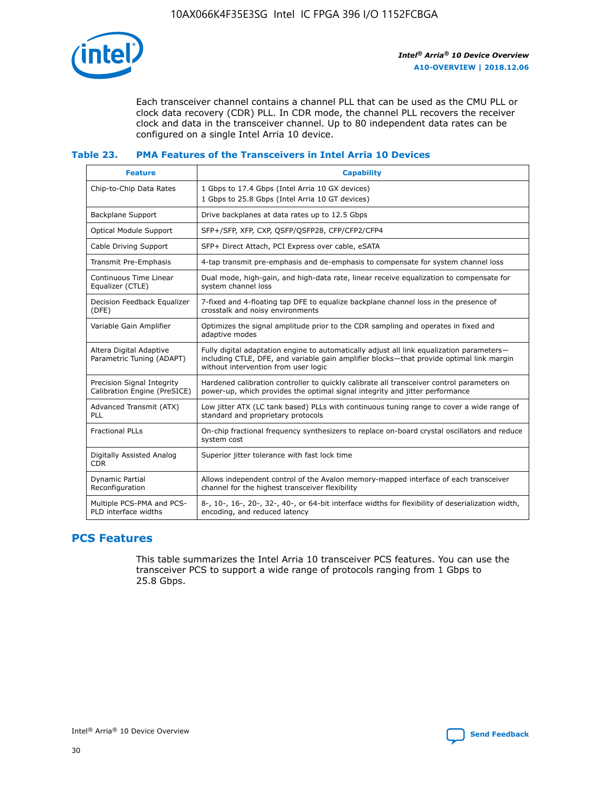

Each transceiver channel contains a channel PLL that can be used as the CMU PLL or clock data recovery (CDR) PLL. In CDR mode, the channel PLL recovers the receiver clock and data in the transceiver channel. Up to 80 independent data rates can be configured on a single Intel Arria 10 device.

## **Table 23. PMA Features of the Transceivers in Intel Arria 10 Devices**

| <b>Feature</b>                                             | <b>Capability</b>                                                                                                                                                                                                             |
|------------------------------------------------------------|-------------------------------------------------------------------------------------------------------------------------------------------------------------------------------------------------------------------------------|
| Chip-to-Chip Data Rates                                    | 1 Gbps to 17.4 Gbps (Intel Arria 10 GX devices)<br>1 Gbps to 25.8 Gbps (Intel Arria 10 GT devices)                                                                                                                            |
| Backplane Support                                          | Drive backplanes at data rates up to 12.5 Gbps                                                                                                                                                                                |
| Optical Module Support                                     | SFP+/SFP, XFP, CXP, QSFP/QSFP28, CFP/CFP2/CFP4                                                                                                                                                                                |
| Cable Driving Support                                      | SFP+ Direct Attach, PCI Express over cable, eSATA                                                                                                                                                                             |
| Transmit Pre-Emphasis                                      | 4-tap transmit pre-emphasis and de-emphasis to compensate for system channel loss                                                                                                                                             |
| Continuous Time Linear<br>Equalizer (CTLE)                 | Dual mode, high-gain, and high-data rate, linear receive equalization to compensate for<br>system channel loss                                                                                                                |
| Decision Feedback Equalizer<br>(DFE)                       | 7-fixed and 4-floating tap DFE to equalize backplane channel loss in the presence of<br>crosstalk and noisy environments                                                                                                      |
| Variable Gain Amplifier                                    | Optimizes the signal amplitude prior to the CDR sampling and operates in fixed and<br>adaptive modes                                                                                                                          |
| Altera Digital Adaptive<br>Parametric Tuning (ADAPT)       | Fully digital adaptation engine to automatically adjust all link equalization parameters-<br>including CTLE, DFE, and variable gain amplifier blocks—that provide optimal link margin<br>without intervention from user logic |
| Precision Signal Integrity<br>Calibration Engine (PreSICE) | Hardened calibration controller to quickly calibrate all transceiver control parameters on<br>power-up, which provides the optimal signal integrity and jitter performance                                                    |
| Advanced Transmit (ATX)<br><b>PLL</b>                      | Low jitter ATX (LC tank based) PLLs with continuous tuning range to cover a wide range of<br>standard and proprietary protocols                                                                                               |
| <b>Fractional PLLs</b>                                     | On-chip fractional frequency synthesizers to replace on-board crystal oscillators and reduce<br>system cost                                                                                                                   |
| Digitally Assisted Analog<br><b>CDR</b>                    | Superior jitter tolerance with fast lock time                                                                                                                                                                                 |
| Dynamic Partial<br>Reconfiguration                         | Allows independent control of the Avalon memory-mapped interface of each transceiver<br>channel for the highest transceiver flexibility                                                                                       |
| Multiple PCS-PMA and PCS-<br>PLD interface widths          | 8-, 10-, 16-, 20-, 32-, 40-, or 64-bit interface widths for flexibility of deserialization width,<br>encoding, and reduced latency                                                                                            |

## **PCS Features**

This table summarizes the Intel Arria 10 transceiver PCS features. You can use the transceiver PCS to support a wide range of protocols ranging from 1 Gbps to 25.8 Gbps.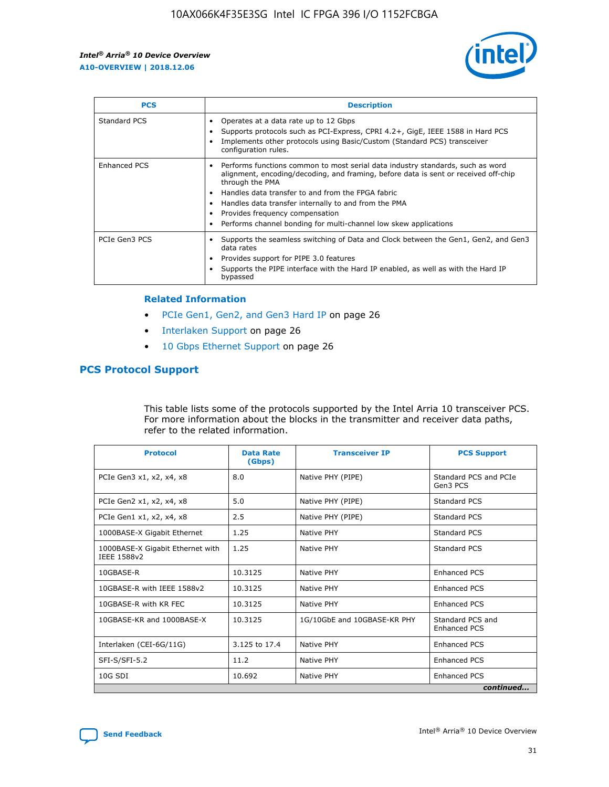

| <b>PCS</b>    | <b>Description</b>                                                                                                                                                                                                                                                                                                                                                                                             |
|---------------|----------------------------------------------------------------------------------------------------------------------------------------------------------------------------------------------------------------------------------------------------------------------------------------------------------------------------------------------------------------------------------------------------------------|
| Standard PCS  | Operates at a data rate up to 12 Gbps<br>Supports protocols such as PCI-Express, CPRI 4.2+, GigE, IEEE 1588 in Hard PCS<br>Implements other protocols using Basic/Custom (Standard PCS) transceiver<br>configuration rules.                                                                                                                                                                                    |
| Enhanced PCS  | Performs functions common to most serial data industry standards, such as word<br>alignment, encoding/decoding, and framing, before data is sent or received off-chip<br>through the PMA<br>• Handles data transfer to and from the FPGA fabric<br>Handles data transfer internally to and from the PMA<br>Provides frequency compensation<br>Performs channel bonding for multi-channel low skew applications |
| PCIe Gen3 PCS | Supports the seamless switching of Data and Clock between the Gen1, Gen2, and Gen3<br>data rates<br>Provides support for PIPE 3.0 features<br>Supports the PIPE interface with the Hard IP enabled, as well as with the Hard IP<br>bypassed                                                                                                                                                                    |

#### **Related Information**

- PCIe Gen1, Gen2, and Gen3 Hard IP on page 26
- Interlaken Support on page 26
- 10 Gbps Ethernet Support on page 26

## **PCS Protocol Support**

This table lists some of the protocols supported by the Intel Arria 10 transceiver PCS. For more information about the blocks in the transmitter and receiver data paths, refer to the related information.

| <b>Protocol</b>                                 | <b>Data Rate</b><br>(Gbps) | <b>Transceiver IP</b>       | <b>PCS Support</b>                      |
|-------------------------------------------------|----------------------------|-----------------------------|-----------------------------------------|
| PCIe Gen3 x1, x2, x4, x8                        | 8.0                        | Native PHY (PIPE)           | Standard PCS and PCIe<br>Gen3 PCS       |
| PCIe Gen2 x1, x2, x4, x8                        | 5.0                        | Native PHY (PIPE)           | <b>Standard PCS</b>                     |
| PCIe Gen1 x1, x2, x4, x8                        | 2.5                        | Native PHY (PIPE)           | Standard PCS                            |
| 1000BASE-X Gigabit Ethernet                     | 1.25                       | Native PHY                  | <b>Standard PCS</b>                     |
| 1000BASE-X Gigabit Ethernet with<br>IEEE 1588v2 | 1.25                       | Native PHY                  | Standard PCS                            |
| 10GBASE-R                                       | 10.3125                    | Native PHY                  | <b>Enhanced PCS</b>                     |
| 10GBASE-R with IEEE 1588v2                      | 10.3125                    | Native PHY                  | <b>Enhanced PCS</b>                     |
| 10GBASE-R with KR FEC                           | 10.3125                    | Native PHY                  | <b>Enhanced PCS</b>                     |
| 10GBASE-KR and 1000BASE-X                       | 10.3125                    | 1G/10GbE and 10GBASE-KR PHY | Standard PCS and<br><b>Enhanced PCS</b> |
| Interlaken (CEI-6G/11G)                         | 3.125 to 17.4              | Native PHY                  | <b>Enhanced PCS</b>                     |
| SFI-S/SFI-5.2                                   | 11.2                       | Native PHY                  | <b>Enhanced PCS</b>                     |
| $10G$ SDI                                       | 10.692                     | Native PHY                  | <b>Enhanced PCS</b>                     |
|                                                 |                            |                             | continued                               |

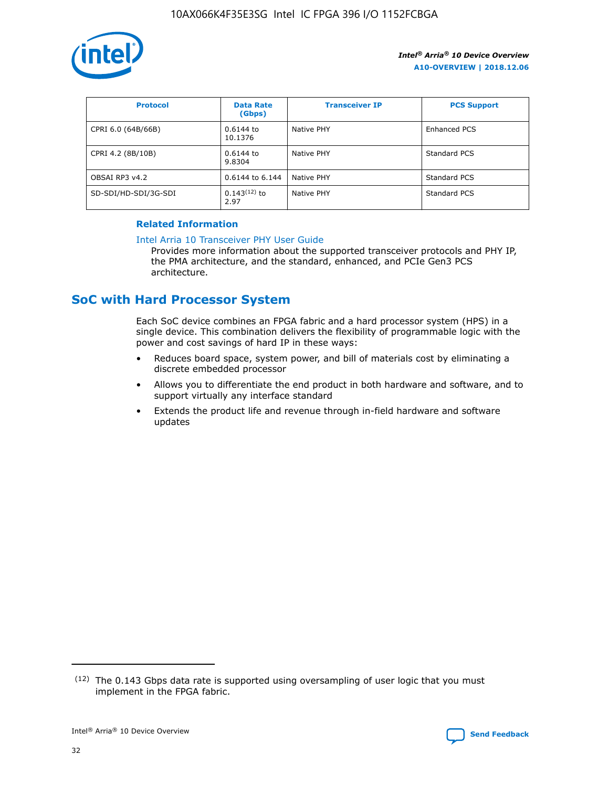

| <b>Protocol</b>      | <b>Data Rate</b><br>(Gbps) | <b>Transceiver IP</b> | <b>PCS Support</b> |
|----------------------|----------------------------|-----------------------|--------------------|
| CPRI 6.0 (64B/66B)   | 0.6144 to<br>10.1376       | Native PHY            | Enhanced PCS       |
| CPRI 4.2 (8B/10B)    | 0.6144 to<br>9.8304        | Native PHY            | Standard PCS       |
| OBSAI RP3 v4.2       | 0.6144 to 6.144            | Native PHY            | Standard PCS       |
| SD-SDI/HD-SDI/3G-SDI | $0.143(12)$ to<br>2.97     | Native PHY            | Standard PCS       |

## **Related Information**

#### [Intel Arria 10 Transceiver PHY User Guide](https://www.intel.com/content/www/us/en/programmable/documentation/nik1398707230472.html#nik1398707091164)

Provides more information about the supported transceiver protocols and PHY IP, the PMA architecture, and the standard, enhanced, and PCIe Gen3 PCS architecture.

# **SoC with Hard Processor System**

Each SoC device combines an FPGA fabric and a hard processor system (HPS) in a single device. This combination delivers the flexibility of programmable logic with the power and cost savings of hard IP in these ways:

- Reduces board space, system power, and bill of materials cost by eliminating a discrete embedded processor
- Allows you to differentiate the end product in both hardware and software, and to support virtually any interface standard
- Extends the product life and revenue through in-field hardware and software updates

<sup>(12)</sup> The 0.143 Gbps data rate is supported using oversampling of user logic that you must implement in the FPGA fabric.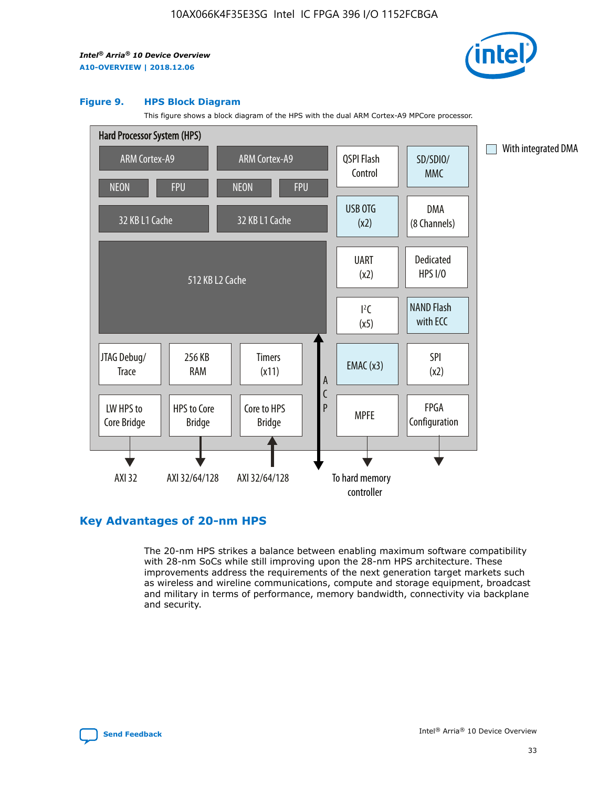

#### **Figure 9. HPS Block Diagram**

This figure shows a block diagram of the HPS with the dual ARM Cortex-A9 MPCore processor.



## **Key Advantages of 20-nm HPS**

The 20-nm HPS strikes a balance between enabling maximum software compatibility with 28-nm SoCs while still improving upon the 28-nm HPS architecture. These improvements address the requirements of the next generation target markets such as wireless and wireline communications, compute and storage equipment, broadcast and military in terms of performance, memory bandwidth, connectivity via backplane and security.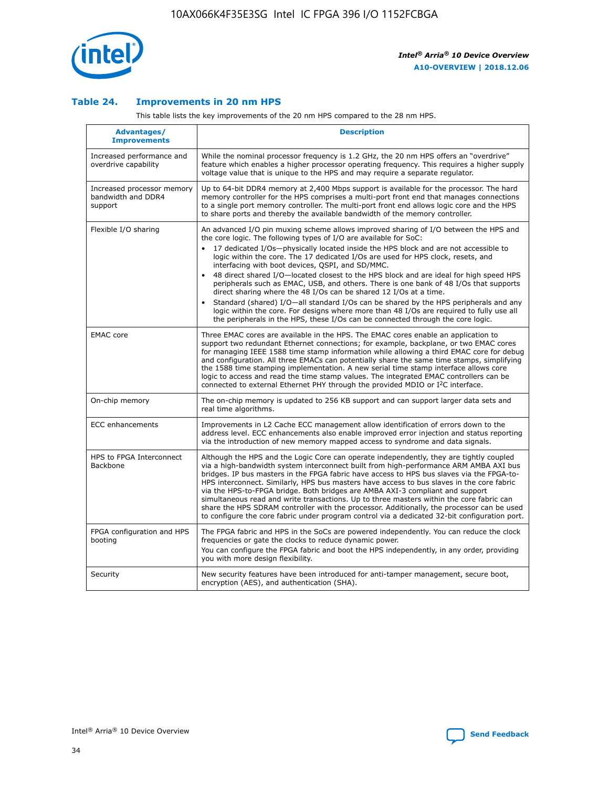

## **Table 24. Improvements in 20 nm HPS**

This table lists the key improvements of the 20 nm HPS compared to the 28 nm HPS.

| Advantages/<br><b>Improvements</b>                          | <b>Description</b>                                                                                                                                                                                                                                                                                                                                                                                                                                                                                                                                                                                                                                                                                                                                                                                                                                                                                                      |
|-------------------------------------------------------------|-------------------------------------------------------------------------------------------------------------------------------------------------------------------------------------------------------------------------------------------------------------------------------------------------------------------------------------------------------------------------------------------------------------------------------------------------------------------------------------------------------------------------------------------------------------------------------------------------------------------------------------------------------------------------------------------------------------------------------------------------------------------------------------------------------------------------------------------------------------------------------------------------------------------------|
| Increased performance and<br>overdrive capability           | While the nominal processor frequency is 1.2 GHz, the 20 nm HPS offers an "overdrive"<br>feature which enables a higher processor operating frequency. This requires a higher supply<br>voltage value that is unique to the HPS and may require a separate regulator.                                                                                                                                                                                                                                                                                                                                                                                                                                                                                                                                                                                                                                                   |
| Increased processor memory<br>bandwidth and DDR4<br>support | Up to 64-bit DDR4 memory at 2,400 Mbps support is available for the processor. The hard<br>memory controller for the HPS comprises a multi-port front end that manages connections<br>to a single port memory controller. The multi-port front end allows logic core and the HPS<br>to share ports and thereby the available bandwidth of the memory controller.                                                                                                                                                                                                                                                                                                                                                                                                                                                                                                                                                        |
| Flexible I/O sharing                                        | An advanced I/O pin muxing scheme allows improved sharing of I/O between the HPS and<br>the core logic. The following types of I/O are available for SoC:<br>17 dedicated I/Os-physically located inside the HPS block and are not accessible to<br>logic within the core. The 17 dedicated I/Os are used for HPS clock, resets, and<br>interfacing with boot devices, QSPI, and SD/MMC.<br>48 direct shared I/O-located closest to the HPS block and are ideal for high speed HPS<br>peripherals such as EMAC, USB, and others. There is one bank of 48 I/Os that supports<br>direct sharing where the 48 I/Os can be shared 12 I/Os at a time.<br>Standard (shared) I/O-all standard I/Os can be shared by the HPS peripherals and any<br>logic within the core. For designs where more than 48 I/Os are reguired to fully use all<br>the peripherals in the HPS, these I/Os can be connected through the core logic. |
| <b>EMAC</b> core                                            | Three EMAC cores are available in the HPS. The EMAC cores enable an application to<br>support two redundant Ethernet connections; for example, backplane, or two EMAC cores<br>for managing IEEE 1588 time stamp information while allowing a third EMAC core for debug<br>and configuration. All three EMACs can potentially share the same time stamps, simplifying<br>the 1588 time stamping implementation. A new serial time stamp interface allows core<br>logic to access and read the time stamp values. The integrated EMAC controllers can be<br>connected to external Ethernet PHY through the provided MDIO or I <sup>2</sup> C interface.                                                                                                                                                                                                                                                                  |
| On-chip memory                                              | The on-chip memory is updated to 256 KB support and can support larger data sets and<br>real time algorithms.                                                                                                                                                                                                                                                                                                                                                                                                                                                                                                                                                                                                                                                                                                                                                                                                           |
| <b>ECC</b> enhancements                                     | Improvements in L2 Cache ECC management allow identification of errors down to the<br>address level. ECC enhancements also enable improved error injection and status reporting<br>via the introduction of new memory mapped access to syndrome and data signals.                                                                                                                                                                                                                                                                                                                                                                                                                                                                                                                                                                                                                                                       |
| HPS to FPGA Interconnect<br>Backbone                        | Although the HPS and the Logic Core can operate independently, they are tightly coupled<br>via a high-bandwidth system interconnect built from high-performance ARM AMBA AXI bus<br>bridges. IP bus masters in the FPGA fabric have access to HPS bus slaves via the FPGA-to-<br>HPS interconnect. Similarly, HPS bus masters have access to bus slaves in the core fabric<br>via the HPS-to-FPGA bridge. Both bridges are AMBA AXI-3 compliant and support<br>simultaneous read and write transactions. Up to three masters within the core fabric can<br>share the HPS SDRAM controller with the processor. Additionally, the processor can be used<br>to configure the core fabric under program control via a dedicated 32-bit configuration port.                                                                                                                                                                  |
| FPGA configuration and HPS<br>booting                       | The FPGA fabric and HPS in the SoCs are powered independently. You can reduce the clock<br>frequencies or gate the clocks to reduce dynamic power.<br>You can configure the FPGA fabric and boot the HPS independently, in any order, providing<br>you with more design flexibility.                                                                                                                                                                                                                                                                                                                                                                                                                                                                                                                                                                                                                                    |
| Security                                                    | New security features have been introduced for anti-tamper management, secure boot,<br>encryption (AES), and authentication (SHA).                                                                                                                                                                                                                                                                                                                                                                                                                                                                                                                                                                                                                                                                                                                                                                                      |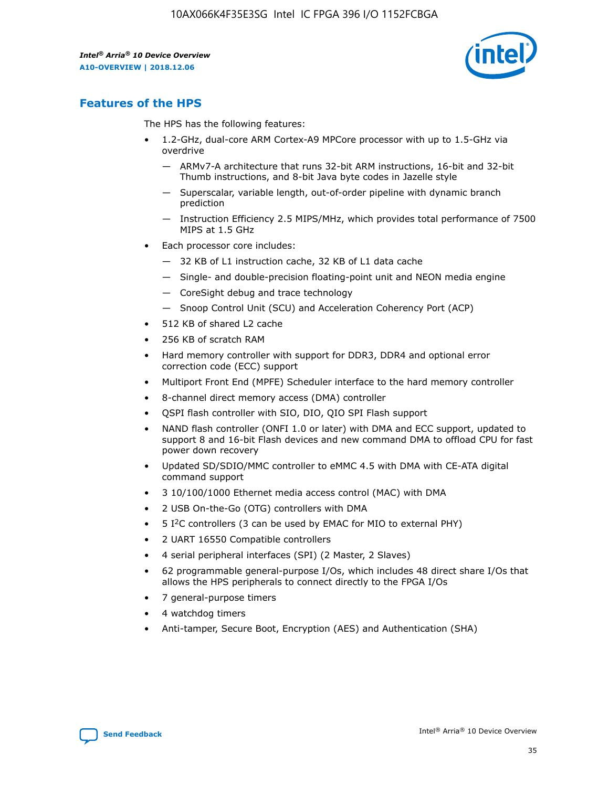

## **Features of the HPS**

The HPS has the following features:

- 1.2-GHz, dual-core ARM Cortex-A9 MPCore processor with up to 1.5-GHz via overdrive
	- ARMv7-A architecture that runs 32-bit ARM instructions, 16-bit and 32-bit Thumb instructions, and 8-bit Java byte codes in Jazelle style
	- Superscalar, variable length, out-of-order pipeline with dynamic branch prediction
	- Instruction Efficiency 2.5 MIPS/MHz, which provides total performance of 7500 MIPS at 1.5 GHz
- Each processor core includes:
	- 32 KB of L1 instruction cache, 32 KB of L1 data cache
	- Single- and double-precision floating-point unit and NEON media engine
	- CoreSight debug and trace technology
	- Snoop Control Unit (SCU) and Acceleration Coherency Port (ACP)
- 512 KB of shared L2 cache
- 256 KB of scratch RAM
- Hard memory controller with support for DDR3, DDR4 and optional error correction code (ECC) support
- Multiport Front End (MPFE) Scheduler interface to the hard memory controller
- 8-channel direct memory access (DMA) controller
- QSPI flash controller with SIO, DIO, QIO SPI Flash support
- NAND flash controller (ONFI 1.0 or later) with DMA and ECC support, updated to support 8 and 16-bit Flash devices and new command DMA to offload CPU for fast power down recovery
- Updated SD/SDIO/MMC controller to eMMC 4.5 with DMA with CE-ATA digital command support
- 3 10/100/1000 Ethernet media access control (MAC) with DMA
- 2 USB On-the-Go (OTG) controllers with DMA
- $\bullet$  5 I<sup>2</sup>C controllers (3 can be used by EMAC for MIO to external PHY)
- 2 UART 16550 Compatible controllers
- 4 serial peripheral interfaces (SPI) (2 Master, 2 Slaves)
- 62 programmable general-purpose I/Os, which includes 48 direct share I/Os that allows the HPS peripherals to connect directly to the FPGA I/Os
- 7 general-purpose timers
- 4 watchdog timers
- Anti-tamper, Secure Boot, Encryption (AES) and Authentication (SHA)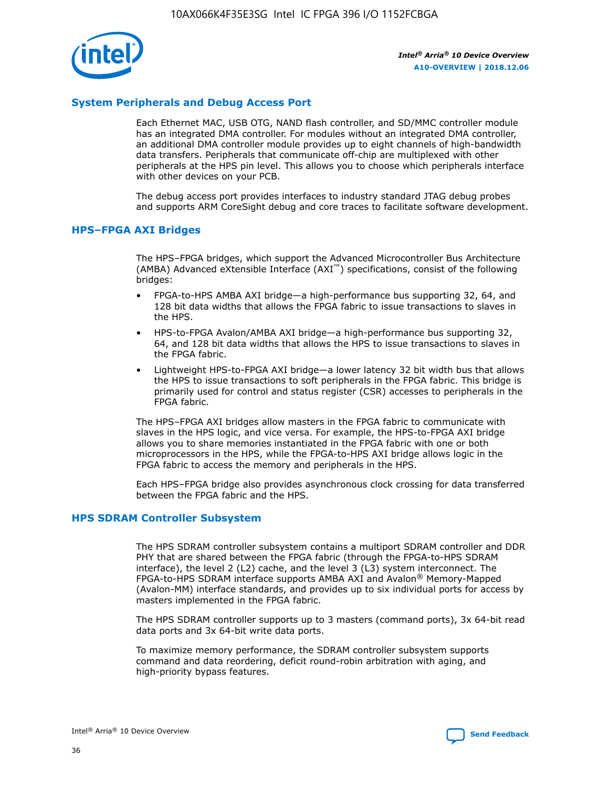

## **System Peripherals and Debug Access Port**

Each Ethernet MAC, USB OTG, NAND flash controller, and SD/MMC controller module has an integrated DMA controller. For modules without an integrated DMA controller, an additional DMA controller module provides up to eight channels of high-bandwidth data transfers. Peripherals that communicate off-chip are multiplexed with other peripherals at the HPS pin level. This allows you to choose which peripherals interface with other devices on your PCB.

The debug access port provides interfaces to industry standard JTAG debug probes and supports ARM CoreSight debug and core traces to facilitate software development.

#### **HPS–FPGA AXI Bridges**

The HPS–FPGA bridges, which support the Advanced Microcontroller Bus Architecture (AMBA) Advanced eXtensible Interface (AXI™) specifications, consist of the following bridges:

- FPGA-to-HPS AMBA AXI bridge—a high-performance bus supporting 32, 64, and 128 bit data widths that allows the FPGA fabric to issue transactions to slaves in the HPS.
- HPS-to-FPGA Avalon/AMBA AXI bridge—a high-performance bus supporting 32, 64, and 128 bit data widths that allows the HPS to issue transactions to slaves in the FPGA fabric.
- Lightweight HPS-to-FPGA AXI bridge—a lower latency 32 bit width bus that allows the HPS to issue transactions to soft peripherals in the FPGA fabric. This bridge is primarily used for control and status register (CSR) accesses to peripherals in the FPGA fabric.

The HPS–FPGA AXI bridges allow masters in the FPGA fabric to communicate with slaves in the HPS logic, and vice versa. For example, the HPS-to-FPGA AXI bridge allows you to share memories instantiated in the FPGA fabric with one or both microprocessors in the HPS, while the FPGA-to-HPS AXI bridge allows logic in the FPGA fabric to access the memory and peripherals in the HPS.

Each HPS–FPGA bridge also provides asynchronous clock crossing for data transferred between the FPGA fabric and the HPS.

#### **HPS SDRAM Controller Subsystem**

The HPS SDRAM controller subsystem contains a multiport SDRAM controller and DDR PHY that are shared between the FPGA fabric (through the FPGA-to-HPS SDRAM interface), the level 2 (L2) cache, and the level 3 (L3) system interconnect. The FPGA-to-HPS SDRAM interface supports AMBA AXI and Avalon® Memory-Mapped (Avalon-MM) interface standards, and provides up to six individual ports for access by masters implemented in the FPGA fabric.

The HPS SDRAM controller supports up to 3 masters (command ports), 3x 64-bit read data ports and 3x 64-bit write data ports.

To maximize memory performance, the SDRAM controller subsystem supports command and data reordering, deficit round-robin arbitration with aging, and high-priority bypass features.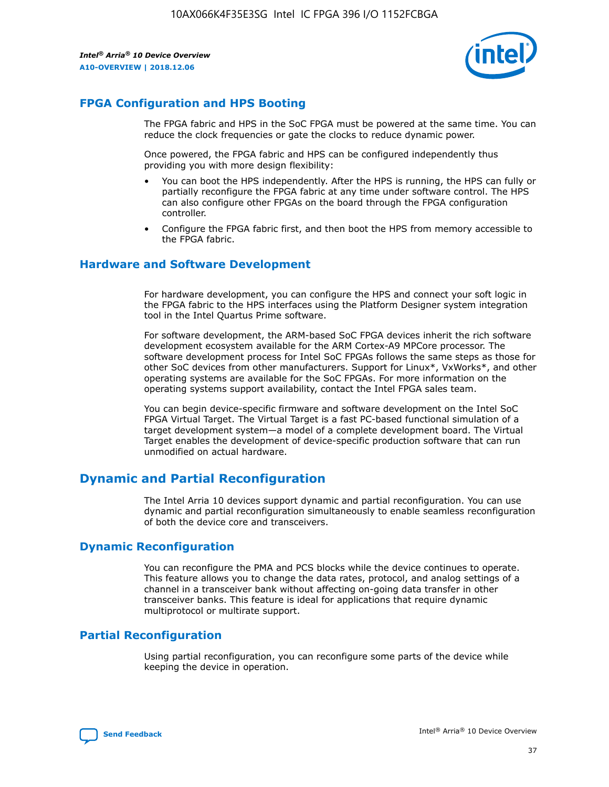

## **FPGA Configuration and HPS Booting**

The FPGA fabric and HPS in the SoC FPGA must be powered at the same time. You can reduce the clock frequencies or gate the clocks to reduce dynamic power.

Once powered, the FPGA fabric and HPS can be configured independently thus providing you with more design flexibility:

- You can boot the HPS independently. After the HPS is running, the HPS can fully or partially reconfigure the FPGA fabric at any time under software control. The HPS can also configure other FPGAs on the board through the FPGA configuration controller.
- Configure the FPGA fabric first, and then boot the HPS from memory accessible to the FPGA fabric.

## **Hardware and Software Development**

For hardware development, you can configure the HPS and connect your soft logic in the FPGA fabric to the HPS interfaces using the Platform Designer system integration tool in the Intel Quartus Prime software.

For software development, the ARM-based SoC FPGA devices inherit the rich software development ecosystem available for the ARM Cortex-A9 MPCore processor. The software development process for Intel SoC FPGAs follows the same steps as those for other SoC devices from other manufacturers. Support for Linux\*, VxWorks\*, and other operating systems are available for the SoC FPGAs. For more information on the operating systems support availability, contact the Intel FPGA sales team.

You can begin device-specific firmware and software development on the Intel SoC FPGA Virtual Target. The Virtual Target is a fast PC-based functional simulation of a target development system—a model of a complete development board. The Virtual Target enables the development of device-specific production software that can run unmodified on actual hardware.

## **Dynamic and Partial Reconfiguration**

The Intel Arria 10 devices support dynamic and partial reconfiguration. You can use dynamic and partial reconfiguration simultaneously to enable seamless reconfiguration of both the device core and transceivers.

## **Dynamic Reconfiguration**

You can reconfigure the PMA and PCS blocks while the device continues to operate. This feature allows you to change the data rates, protocol, and analog settings of a channel in a transceiver bank without affecting on-going data transfer in other transceiver banks. This feature is ideal for applications that require dynamic multiprotocol or multirate support.

## **Partial Reconfiguration**

Using partial reconfiguration, you can reconfigure some parts of the device while keeping the device in operation.

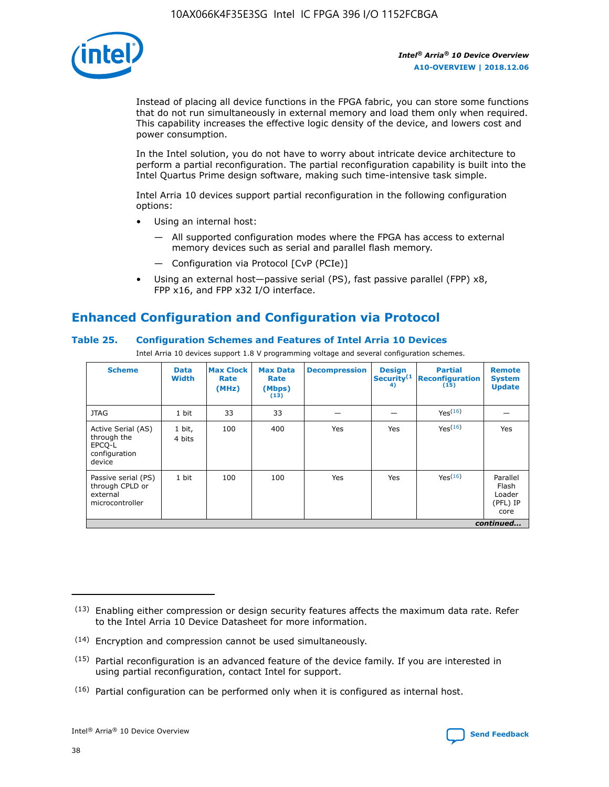

Instead of placing all device functions in the FPGA fabric, you can store some functions that do not run simultaneously in external memory and load them only when required. This capability increases the effective logic density of the device, and lowers cost and power consumption.

In the Intel solution, you do not have to worry about intricate device architecture to perform a partial reconfiguration. The partial reconfiguration capability is built into the Intel Quartus Prime design software, making such time-intensive task simple.

Intel Arria 10 devices support partial reconfiguration in the following configuration options:

- Using an internal host:
	- All supported configuration modes where the FPGA has access to external memory devices such as serial and parallel flash memory.
	- Configuration via Protocol [CvP (PCIe)]
- Using an external host—passive serial (PS), fast passive parallel (FPP) x8, FPP x16, and FPP x32 I/O interface.

# **Enhanced Configuration and Configuration via Protocol**

## **Table 25. Configuration Schemes and Features of Intel Arria 10 Devices**

Intel Arria 10 devices support 1.8 V programming voltage and several configuration schemes.

| <b>Scheme</b>                                                          | <b>Data</b><br><b>Width</b> | <b>Max Clock</b><br>Rate<br>(MHz) | <b>Max Data</b><br>Rate<br>(Mbps)<br>(13) | <b>Decompression</b> | <b>Design</b><br>Security <sup>(1</sup><br>4) | <b>Partial</b><br>Reconfiguration<br>(15) | <b>Remote</b><br><b>System</b><br><b>Update</b> |
|------------------------------------------------------------------------|-----------------------------|-----------------------------------|-------------------------------------------|----------------------|-----------------------------------------------|-------------------------------------------|-------------------------------------------------|
| <b>JTAG</b>                                                            | 1 bit                       | 33                                | 33                                        |                      |                                               | Yes(16)                                   |                                                 |
| Active Serial (AS)<br>through the<br>EPCO-L<br>configuration<br>device | 1 bit,<br>4 bits            | 100                               | 400                                       | Yes                  | Yes                                           | Yes(16)                                   | Yes                                             |
| Passive serial (PS)<br>through CPLD or<br>external<br>microcontroller  | 1 bit                       | 100                               | 100                                       | Yes                  | Yes                                           | Yes <sup>(16)</sup>                       | Parallel<br>Flash<br>Loader<br>(PFL) IP<br>core |
|                                                                        |                             |                                   |                                           |                      |                                               |                                           | continued                                       |

<sup>(13)</sup> Enabling either compression or design security features affects the maximum data rate. Refer to the Intel Arria 10 Device Datasheet for more information.

<sup>(14)</sup> Encryption and compression cannot be used simultaneously.

 $(15)$  Partial reconfiguration is an advanced feature of the device family. If you are interested in using partial reconfiguration, contact Intel for support.

 $(16)$  Partial configuration can be performed only when it is configured as internal host.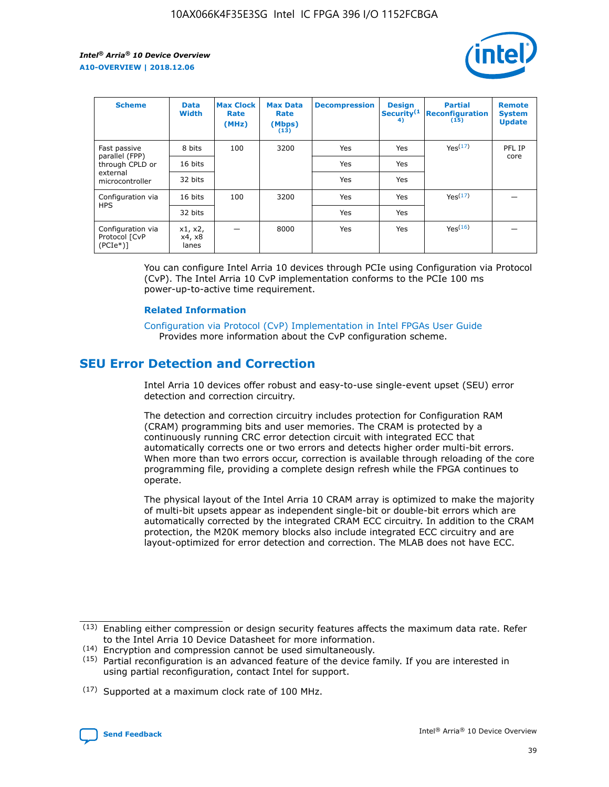

| <b>Scheme</b>                                   | <b>Data</b><br><b>Width</b> | <b>Max Clock</b><br>Rate<br>(MHz) | <b>Max Data</b><br>Rate<br>(Mbps)<br>(13) | <b>Decompression</b> | <b>Design</b><br>Security <sup>(1</sup><br>4) | <b>Partial</b><br><b>Reconfiguration</b><br>(15) | <b>Remote</b><br><b>System</b><br><b>Update</b> |
|-------------------------------------------------|-----------------------------|-----------------------------------|-------------------------------------------|----------------------|-----------------------------------------------|--------------------------------------------------|-------------------------------------------------|
| Fast passive                                    | 8 bits                      | 100                               | 3200                                      | Yes                  | Yes                                           | Yes(17)                                          | PFL IP                                          |
| parallel (FPP)<br>through CPLD or               | 16 bits                     |                                   |                                           | Yes                  | Yes                                           |                                                  | core                                            |
| external<br>microcontroller                     | 32 bits                     |                                   |                                           | Yes                  | Yes                                           |                                                  |                                                 |
| Configuration via                               | 16 bits                     | 100                               | 3200                                      | Yes                  | Yes                                           | Yes <sup>(17)</sup>                              |                                                 |
| <b>HPS</b>                                      | 32 bits                     |                                   |                                           | Yes                  | Yes                                           |                                                  |                                                 |
| Configuration via<br>Protocol [CvP<br>$(PCIe*)$ | x1, x2,<br>x4, x8<br>lanes  |                                   | 8000                                      | Yes                  | Yes                                           | Yes(16)                                          |                                                 |

You can configure Intel Arria 10 devices through PCIe using Configuration via Protocol (CvP). The Intel Arria 10 CvP implementation conforms to the PCIe 100 ms power-up-to-active time requirement.

## **Related Information**

[Configuration via Protocol \(CvP\) Implementation in Intel FPGAs User Guide](https://www.intel.com/content/www/us/en/programmable/documentation/dsu1441819344145.html#dsu1442269728522) Provides more information about the CvP configuration scheme.

## **SEU Error Detection and Correction**

Intel Arria 10 devices offer robust and easy-to-use single-event upset (SEU) error detection and correction circuitry.

The detection and correction circuitry includes protection for Configuration RAM (CRAM) programming bits and user memories. The CRAM is protected by a continuously running CRC error detection circuit with integrated ECC that automatically corrects one or two errors and detects higher order multi-bit errors. When more than two errors occur, correction is available through reloading of the core programming file, providing a complete design refresh while the FPGA continues to operate.

The physical layout of the Intel Arria 10 CRAM array is optimized to make the majority of multi-bit upsets appear as independent single-bit or double-bit errors which are automatically corrected by the integrated CRAM ECC circuitry. In addition to the CRAM protection, the M20K memory blocks also include integrated ECC circuitry and are layout-optimized for error detection and correction. The MLAB does not have ECC.

(14) Encryption and compression cannot be used simultaneously.

<sup>(17)</sup> Supported at a maximum clock rate of 100 MHz.



 $(13)$  Enabling either compression or design security features affects the maximum data rate. Refer to the Intel Arria 10 Device Datasheet for more information.

 $(15)$  Partial reconfiguration is an advanced feature of the device family. If you are interested in using partial reconfiguration, contact Intel for support.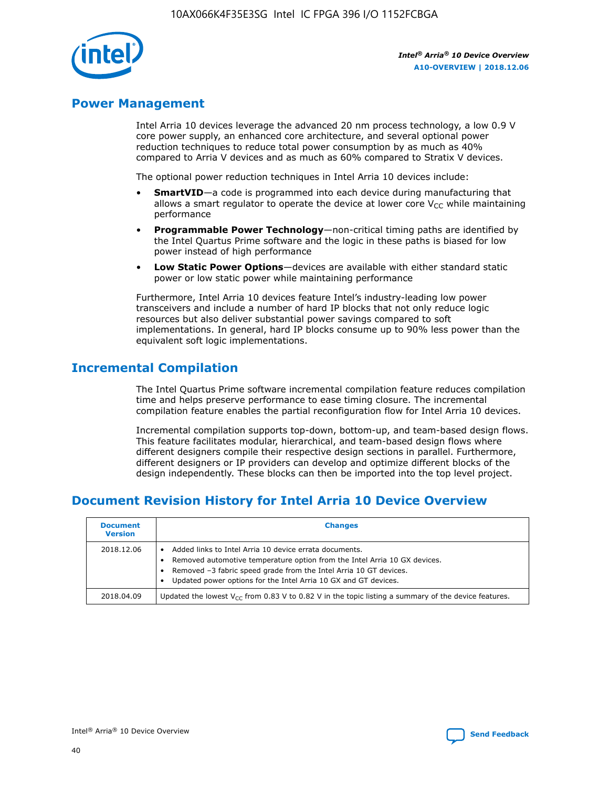

## **Power Management**

Intel Arria 10 devices leverage the advanced 20 nm process technology, a low 0.9 V core power supply, an enhanced core architecture, and several optional power reduction techniques to reduce total power consumption by as much as 40% compared to Arria V devices and as much as 60% compared to Stratix V devices.

The optional power reduction techniques in Intel Arria 10 devices include:

- **SmartVID**—a code is programmed into each device during manufacturing that allows a smart regulator to operate the device at lower core  $V_{CC}$  while maintaining performance
- **Programmable Power Technology**—non-critical timing paths are identified by the Intel Quartus Prime software and the logic in these paths is biased for low power instead of high performance
- **Low Static Power Options**—devices are available with either standard static power or low static power while maintaining performance

Furthermore, Intel Arria 10 devices feature Intel's industry-leading low power transceivers and include a number of hard IP blocks that not only reduce logic resources but also deliver substantial power savings compared to soft implementations. In general, hard IP blocks consume up to 90% less power than the equivalent soft logic implementations.

# **Incremental Compilation**

The Intel Quartus Prime software incremental compilation feature reduces compilation time and helps preserve performance to ease timing closure. The incremental compilation feature enables the partial reconfiguration flow for Intel Arria 10 devices.

Incremental compilation supports top-down, bottom-up, and team-based design flows. This feature facilitates modular, hierarchical, and team-based design flows where different designers compile their respective design sections in parallel. Furthermore, different designers or IP providers can develop and optimize different blocks of the design independently. These blocks can then be imported into the top level project.

# **Document Revision History for Intel Arria 10 Device Overview**

| <b>Document</b><br><b>Version</b> | <b>Changes</b>                                                                                                                                                                                                                                                              |
|-----------------------------------|-----------------------------------------------------------------------------------------------------------------------------------------------------------------------------------------------------------------------------------------------------------------------------|
| 2018.12.06                        | Added links to Intel Arria 10 device errata documents.<br>Removed automotive temperature option from the Intel Arria 10 GX devices.<br>Removed -3 fabric speed grade from the Intel Arria 10 GT devices.<br>Updated power options for the Intel Arria 10 GX and GT devices. |
| 2018.04.09                        | Updated the lowest $V_{CC}$ from 0.83 V to 0.82 V in the topic listing a summary of the device features.                                                                                                                                                                    |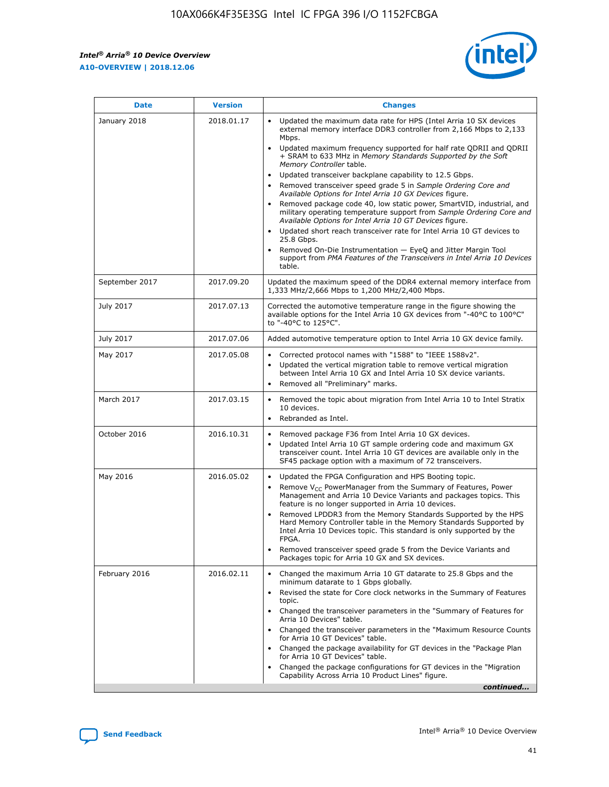$\mathsf{r}$ 



| <b>Date</b>    | <b>Version</b> | <b>Changes</b>                                                                                                                                                                                                                                                                                                                                                                                                                                                                                                                                                                                                                                                                                                                                                                                                                                                                                                                                                                                      |
|----------------|----------------|-----------------------------------------------------------------------------------------------------------------------------------------------------------------------------------------------------------------------------------------------------------------------------------------------------------------------------------------------------------------------------------------------------------------------------------------------------------------------------------------------------------------------------------------------------------------------------------------------------------------------------------------------------------------------------------------------------------------------------------------------------------------------------------------------------------------------------------------------------------------------------------------------------------------------------------------------------------------------------------------------------|
| January 2018   | 2018.01.17     | Updated the maximum data rate for HPS (Intel Arria 10 SX devices<br>external memory interface DDR3 controller from 2,166 Mbps to 2,133<br>Mbps.<br>Updated maximum frequency supported for half rate QDRII and QDRII<br>+ SRAM to 633 MHz in Memory Standards Supported by the Soft<br>Memory Controller table.<br>Updated transceiver backplane capability to 12.5 Gbps.<br>$\bullet$<br>Removed transceiver speed grade 5 in Sample Ordering Core and<br>Available Options for Intel Arria 10 GX Devices figure.<br>Removed package code 40, low static power, SmartVID, industrial, and<br>$\bullet$<br>military operating temperature support from Sample Ordering Core and<br>Available Options for Intel Arria 10 GT Devices figure.<br>Updated short reach transceiver rate for Intel Arria 10 GT devices to<br>$\bullet$<br>25.8 Gbps.<br>Removed On-Die Instrumentation - EyeQ and Jitter Margin Tool<br>support from PMA Features of the Transceivers in Intel Arria 10 Devices<br>table. |
| September 2017 | 2017.09.20     | Updated the maximum speed of the DDR4 external memory interface from<br>1,333 MHz/2,666 Mbps to 1,200 MHz/2,400 Mbps.                                                                                                                                                                                                                                                                                                                                                                                                                                                                                                                                                                                                                                                                                                                                                                                                                                                                               |
| July 2017      | 2017.07.13     | Corrected the automotive temperature range in the figure showing the<br>available options for the Intel Arria 10 GX devices from "-40°C to 100°C"<br>to "-40°C to 125°C".                                                                                                                                                                                                                                                                                                                                                                                                                                                                                                                                                                                                                                                                                                                                                                                                                           |
| July 2017      | 2017.07.06     | Added automotive temperature option to Intel Arria 10 GX device family.                                                                                                                                                                                                                                                                                                                                                                                                                                                                                                                                                                                                                                                                                                                                                                                                                                                                                                                             |
| May 2017       | 2017.05.08     | Corrected protocol names with "1588" to "IEEE 1588v2".<br>$\bullet$<br>Updated the vertical migration table to remove vertical migration<br>$\bullet$<br>between Intel Arria 10 GX and Intel Arria 10 SX device variants.<br>Removed all "Preliminary" marks.                                                                                                                                                                                                                                                                                                                                                                                                                                                                                                                                                                                                                                                                                                                                       |
| March 2017     | 2017.03.15     | Removed the topic about migration from Intel Arria 10 to Intel Stratix<br>$\bullet$<br>10 devices.<br>Rebranded as Intel.<br>$\bullet$                                                                                                                                                                                                                                                                                                                                                                                                                                                                                                                                                                                                                                                                                                                                                                                                                                                              |
| October 2016   | 2016.10.31     | Removed package F36 from Intel Arria 10 GX devices.<br>Updated Intel Arria 10 GT sample ordering code and maximum GX<br>$\bullet$<br>transceiver count. Intel Arria 10 GT devices are available only in the<br>SF45 package option with a maximum of 72 transceivers.                                                                                                                                                                                                                                                                                                                                                                                                                                                                                                                                                                                                                                                                                                                               |
| May 2016       | 2016.05.02     | Updated the FPGA Configuration and HPS Booting topic.<br>$\bullet$<br>Remove $V_{CC}$ PowerManager from the Summary of Features, Power<br>$\bullet$<br>Management and Arria 10 Device Variants and packages topics. This<br>feature is no longer supported in Arria 10 devices.<br>Removed LPDDR3 from the Memory Standards Supported by the HPS<br>Hard Memory Controller table in the Memory Standards Supported by<br>Intel Arria 10 Devices topic. This standard is only supported by the<br>FPGA.<br>Removed transceiver speed grade 5 from the Device Variants and<br>Packages topic for Arria 10 GX and SX devices.                                                                                                                                                                                                                                                                                                                                                                          |
| February 2016  | 2016.02.11     | Changed the maximum Arria 10 GT datarate to 25.8 Gbps and the<br>$\bullet$<br>minimum datarate to 1 Gbps globally.<br>Revised the state for Core clock networks in the Summary of Features<br>$\bullet$<br>topic.<br>• Changed the transceiver parameters in the "Summary of Features for<br>Arria 10 Devices" table.<br>Changed the transceiver parameters in the "Maximum Resource Counts"<br>for Arria 10 GT Devices" table.<br>• Changed the package availability for GT devices in the "Package Plan<br>for Arria 10 GT Devices" table.<br>Changed the package configurations for GT devices in the "Migration"<br>Capability Across Arria 10 Product Lines" figure.<br>continued                                                                                                                                                                                                                                                                                                              |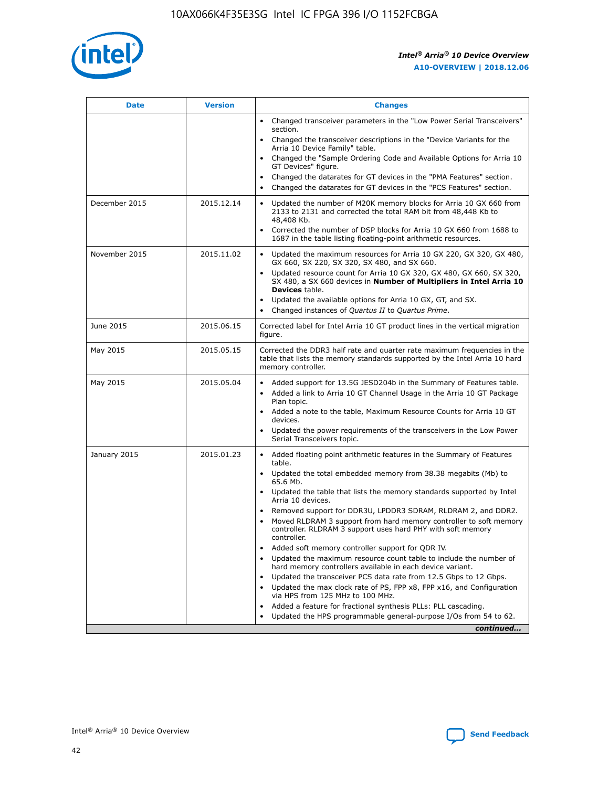

| <b>Date</b>   | <b>Version</b> | <b>Changes</b>                                                                                                                                                               |
|---------------|----------------|------------------------------------------------------------------------------------------------------------------------------------------------------------------------------|
|               |                | • Changed transceiver parameters in the "Low Power Serial Transceivers"<br>section.                                                                                          |
|               |                | • Changed the transceiver descriptions in the "Device Variants for the<br>Arria 10 Device Family" table.                                                                     |
|               |                | Changed the "Sample Ordering Code and Available Options for Arria 10<br>$\bullet$<br>GT Devices" figure.                                                                     |
|               |                | Changed the datarates for GT devices in the "PMA Features" section.                                                                                                          |
|               |                | Changed the datarates for GT devices in the "PCS Features" section.<br>$\bullet$                                                                                             |
| December 2015 | 2015.12.14     | Updated the number of M20K memory blocks for Arria 10 GX 660 from<br>2133 to 2131 and corrected the total RAM bit from 48,448 Kb to<br>48,408 Kb.                            |
|               |                | Corrected the number of DSP blocks for Arria 10 GX 660 from 1688 to<br>1687 in the table listing floating-point arithmetic resources.                                        |
| November 2015 | 2015.11.02     | Updated the maximum resources for Arria 10 GX 220, GX 320, GX 480,<br>$\bullet$<br>GX 660, SX 220, SX 320, SX 480, and SX 660.                                               |
|               |                | • Updated resource count for Arria 10 GX 320, GX 480, GX 660, SX 320,<br>SX 480, a SX 660 devices in Number of Multipliers in Intel Arria 10<br><b>Devices</b> table.        |
|               |                | Updated the available options for Arria 10 GX, GT, and SX.                                                                                                                   |
|               |                | Changed instances of Quartus II to Quartus Prime.<br>$\bullet$                                                                                                               |
| June 2015     | 2015.06.15     | Corrected label for Intel Arria 10 GT product lines in the vertical migration<br>figure.                                                                                     |
| May 2015      | 2015.05.15     | Corrected the DDR3 half rate and quarter rate maximum frequencies in the<br>table that lists the memory standards supported by the Intel Arria 10 hard<br>memory controller. |
| May 2015      | 2015.05.04     | • Added support for 13.5G JESD204b in the Summary of Features table.                                                                                                         |
|               |                | • Added a link to Arria 10 GT Channel Usage in the Arria 10 GT Package<br>Plan topic.                                                                                        |
|               |                | • Added a note to the table, Maximum Resource Counts for Arria 10 GT<br>devices.                                                                                             |
|               |                | • Updated the power requirements of the transceivers in the Low Power<br>Serial Transceivers topic.                                                                          |
| January 2015  | 2015.01.23     | • Added floating point arithmetic features in the Summary of Features<br>table.                                                                                              |
|               |                | • Updated the total embedded memory from 38.38 megabits (Mb) to<br>65.6 Mb.                                                                                                  |
|               |                | • Updated the table that lists the memory standards supported by Intel<br>Arria 10 devices.                                                                                  |
|               |                | Removed support for DDR3U, LPDDR3 SDRAM, RLDRAM 2, and DDR2.                                                                                                                 |
|               |                | Moved RLDRAM 3 support from hard memory controller to soft memory<br>controller. RLDRAM 3 support uses hard PHY with soft memory<br>controller.                              |
|               |                | Added soft memory controller support for QDR IV.<br>٠                                                                                                                        |
|               |                | Updated the maximum resource count table to include the number of<br>hard memory controllers available in each device variant.                                               |
|               |                | Updated the transceiver PCS data rate from 12.5 Gbps to 12 Gbps.<br>$\bullet$                                                                                                |
|               |                | Updated the max clock rate of PS, FPP x8, FPP x16, and Configuration<br>via HPS from 125 MHz to 100 MHz.                                                                     |
|               |                | Added a feature for fractional synthesis PLLs: PLL cascading.                                                                                                                |
|               |                | Updated the HPS programmable general-purpose I/Os from 54 to 62.<br>$\bullet$                                                                                                |
|               |                | continued                                                                                                                                                                    |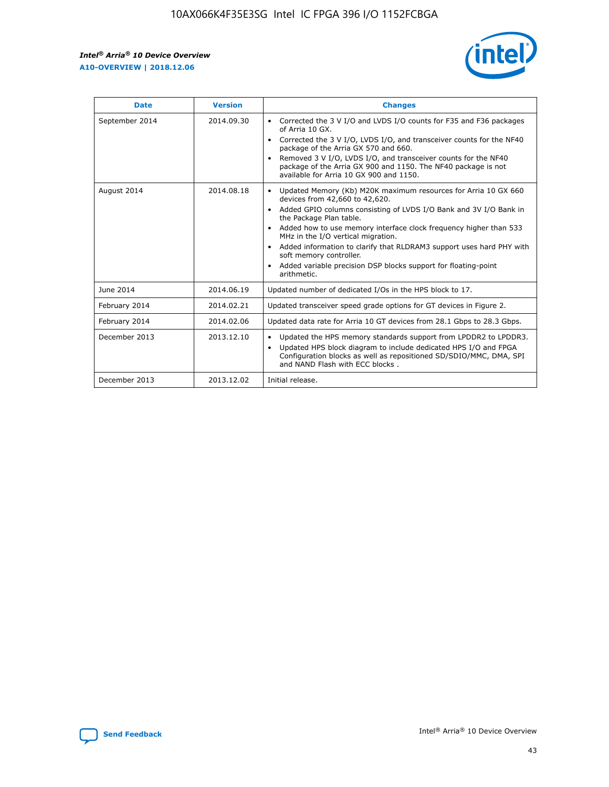r



| <b>Date</b>    | <b>Version</b> | <b>Changes</b>                                                                                                                                                                                                                                                                                                                                                                                                                                                                                                                                      |
|----------------|----------------|-----------------------------------------------------------------------------------------------------------------------------------------------------------------------------------------------------------------------------------------------------------------------------------------------------------------------------------------------------------------------------------------------------------------------------------------------------------------------------------------------------------------------------------------------------|
| September 2014 | 2014.09.30     | Corrected the 3 V I/O and LVDS I/O counts for F35 and F36 packages<br>$\bullet$<br>of Arria 10 GX.<br>Corrected the 3 V I/O, LVDS I/O, and transceiver counts for the NF40<br>$\bullet$<br>package of the Arria GX 570 and 660.<br>Removed 3 V I/O, LVDS I/O, and transceiver counts for the NF40<br>$\bullet$<br>package of the Arria GX 900 and 1150. The NF40 package is not<br>available for Arria 10 GX 900 and 1150.                                                                                                                          |
| August 2014    | 2014.08.18     | Updated Memory (Kb) M20K maximum resources for Arria 10 GX 660<br>devices from 42,660 to 42,620.<br>Added GPIO columns consisting of LVDS I/O Bank and 3V I/O Bank in<br>$\bullet$<br>the Package Plan table.<br>Added how to use memory interface clock frequency higher than 533<br>$\bullet$<br>MHz in the I/O vertical migration.<br>Added information to clarify that RLDRAM3 support uses hard PHY with<br>$\bullet$<br>soft memory controller.<br>Added variable precision DSP blocks support for floating-point<br>$\bullet$<br>arithmetic. |
| June 2014      | 2014.06.19     | Updated number of dedicated I/Os in the HPS block to 17.                                                                                                                                                                                                                                                                                                                                                                                                                                                                                            |
| February 2014  | 2014.02.21     | Updated transceiver speed grade options for GT devices in Figure 2.                                                                                                                                                                                                                                                                                                                                                                                                                                                                                 |
| February 2014  | 2014.02.06     | Updated data rate for Arria 10 GT devices from 28.1 Gbps to 28.3 Gbps.                                                                                                                                                                                                                                                                                                                                                                                                                                                                              |
| December 2013  | 2013.12.10     | Updated the HPS memory standards support from LPDDR2 to LPDDR3.<br>Updated HPS block diagram to include dedicated HPS I/O and FPGA<br>$\bullet$<br>Configuration blocks as well as repositioned SD/SDIO/MMC, DMA, SPI<br>and NAND Flash with ECC blocks.                                                                                                                                                                                                                                                                                            |
| December 2013  | 2013.12.02     | Initial release.                                                                                                                                                                                                                                                                                                                                                                                                                                                                                                                                    |